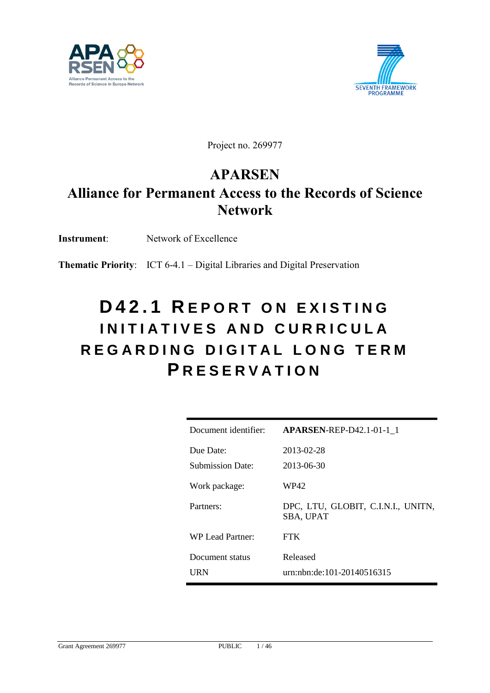



Project no. 269977

## **APARSEN**

# **Alliance for Permanent Access to the Records of Science Network**

**Instrument**: Network of Excellence

**Thematic Priority**: ICT 6-4.1 – Digital Libraries and Digital Preservation

# **D 4 2 . 1 R E P O R T O N E X I S T I N G I N I T I A T I V E S A N D C U R R I C U L A R E G A R D I N G D I G I T A L L O N G T E R M P R E S E R V A T I O N**

| Document identifier:    | <b>APARSEN-REP-D42.1-01-1 1</b>                        |
|-------------------------|--------------------------------------------------------|
| Due Date:               | 2013-02-28                                             |
| <b>Submission Date:</b> | 2013-06-30                                             |
| Work package:           | WP42                                                   |
| Partners:               | DPC, LTU, GLOBIT, C.I.N.I., UNITN,<br><b>SBA, UPAT</b> |
| WP Lead Partner:        | <b>FTK</b>                                             |
| Document status<br>URN  | Released<br>urn:nbn:de:101-20140516315                 |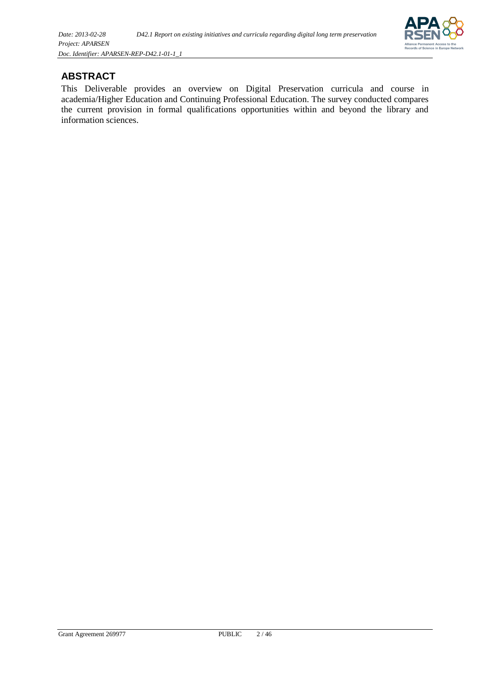

### <span id="page-1-0"></span>**ABSTRACT**

This Deliverable provides an overview on Digital Preservation curricula and course in academia/Higher Education and Continuing Professional Education. The survey conducted compares the current provision in formal qualifications opportunities within and beyond the library and information sciences.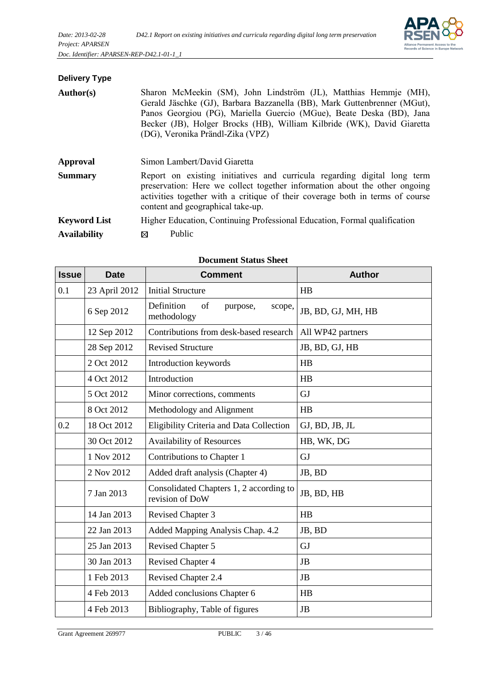

## **Delivery Type**

| Author(s)           | Sharon McMeekin (SM), John Lindström (JL), Matthias Hemmje (MH),<br>Gerald Jäschke (GJ), Barbara Bazzanella (BB), Mark Guttenbrenner (MGut),<br>Panos Georgiou (PG), Mariella Guercio (MGue), Beate Deska (BD), Jana<br>Becker (JB), Holger Brocks (HB), William Kilbride (WK), David Giaretta<br>(DG), Veronika Prändl-Zika (VPZ) |  |
|---------------------|------------------------------------------------------------------------------------------------------------------------------------------------------------------------------------------------------------------------------------------------------------------------------------------------------------------------------------|--|
| Approval            | Simon Lambert/David Giaretta                                                                                                                                                                                                                                                                                                       |  |
| <b>Summary</b>      | Report on existing initiatives and curricula regarding digital long term<br>preservation: Here we collect together information about the other ongoing<br>activities together with a critique of their coverage both in terms of course<br>content and geographical take-up.                                                       |  |
| <b>Keyword List</b> | Higher Education, Continuing Professional Education, Formal qualification                                                                                                                                                                                                                                                          |  |
| <b>Availability</b> | Public<br>⊠                                                                                                                                                                                                                                                                                                                        |  |

| <b>Issue</b> | <b>Date</b>   | <b>Comment</b>                                             | <b>Author</b>      |
|--------------|---------------|------------------------------------------------------------|--------------------|
| 0.1          | 23 April 2012 | <b>Initial Structure</b>                                   | HB                 |
|              | 6 Sep 2012    | Definition<br>of<br>purpose,<br>scope,<br>methodology      | JB, BD, GJ, MH, HB |
|              | 12 Sep 2012   | Contributions from desk-based research                     | All WP42 partners  |
|              | 28 Sep 2012   | <b>Revised Structure</b>                                   | JB, BD, GJ, HB     |
|              | 2 Oct 2012    | Introduction keywords                                      | HB                 |
|              | 4 Oct 2012    | Introduction                                               | HB                 |
|              | 5 Oct 2012    | Minor corrections, comments                                | GJ                 |
|              | 8 Oct 2012    | Methodology and Alignment                                  | HB                 |
| 0.2          | 18 Oct 2012   | Eligibility Criteria and Data Collection                   | GJ, BD, JB, JL     |
|              | 30 Oct 2012   | <b>Availability of Resources</b>                           | HB, WK, DG         |
|              | 1 Nov 2012    | Contributions to Chapter 1                                 | GJ                 |
|              | 2 Nov 2012    | Added draft analysis (Chapter 4)                           | JB, BD             |
|              | 7 Jan 2013    | Consolidated Chapters 1, 2 according to<br>revision of DoW | JB, BD, HB         |
|              | 14 Jan 2013   | <b>Revised Chapter 3</b>                                   | HB                 |
|              | 22 Jan 2013   | Added Mapping Analysis Chap. 4.2                           | JB, BD             |
|              | 25 Jan 2013   | <b>Revised Chapter 5</b>                                   | GJ                 |
|              | 30 Jan 2013   | <b>Revised Chapter 4</b>                                   | <b>JB</b>          |
|              | 1 Feb 2013    | Revised Chapter 2.4                                        | JB                 |
|              | 4 Feb 2013    | Added conclusions Chapter 6                                | HB                 |
|              | 4 Feb 2013    | Bibliography, Table of figures                             | JB                 |

#### **Document Status Sheet**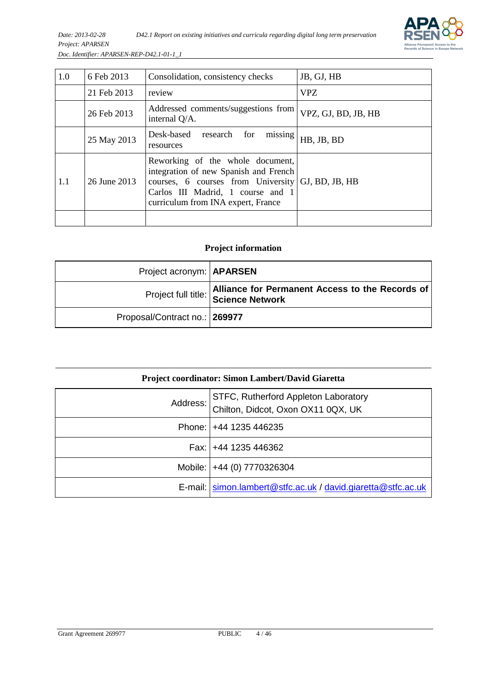

| 1.0 | 6 Feb 2013   | Consolidation, consistency checks                                                                                                                                                          | JB, GJ, HB          |
|-----|--------------|--------------------------------------------------------------------------------------------------------------------------------------------------------------------------------------------|---------------------|
|     | 21 Feb 2013  | review                                                                                                                                                                                     | VPZ.                |
|     | 26 Feb 2013  | Addressed comments/suggestions from<br>internal Q/A.                                                                                                                                       | VPZ, GJ, BD, JB, HB |
|     | 25 May 2013  | Desk-based research for<br>missing<br>resources                                                                                                                                            | HB, JB, BD          |
| 1.1 | 26 June 2013 | Reworking of the whole document,<br>integration of new Spanish and French<br>courses, 6 courses from University<br>Carlos III Madrid, 1 course and 1<br>curriculum from INA expert, France | GJ, BD, JB, HB      |
|     |              |                                                                                                                                                                                            |                     |

#### **Project information**

| Project acronym:   APARSEN    |                                                                                        |
|-------------------------------|----------------------------------------------------------------------------------------|
|                               | Alliance for Permanent Access to the Records of<br>Project full title: Science Network |
| Proposal/Contract no.: 269977 |                                                                                        |

| <b>Project coordinator: Simon Lambert/David Giaretta</b> |                                                                            |  |
|----------------------------------------------------------|----------------------------------------------------------------------------|--|
| Address:                                                 | STFC, Rutherford Appleton Laboratory<br>Chilton, Didcot, Oxon OX11 0QX, UK |  |
|                                                          | Phone: $ +44$ 1235 446235                                                  |  |
|                                                          | Fax: $+44$ 1235 446362                                                     |  |
|                                                          | Mobile:   +44 (0) 7770326304                                               |  |
|                                                          | E-mail:   simon.lambert@stfc.ac.uk / david.giaretta@stfc.ac.uk             |  |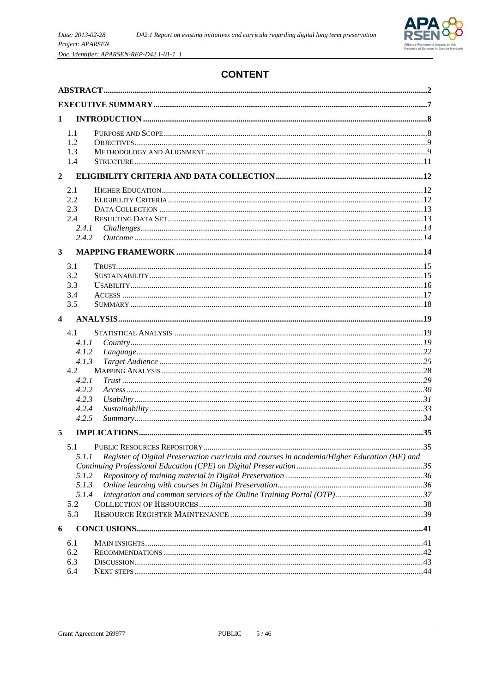

## **CONTENT**

| 1                |                                                                                    |                                                                                              |  |  |
|------------------|------------------------------------------------------------------------------------|----------------------------------------------------------------------------------------------|--|--|
|                  | 1.1<br>1.2<br>1.3<br>1.4                                                           |                                                                                              |  |  |
| $\boldsymbol{2}$ |                                                                                    |                                                                                              |  |  |
|                  | 2.1<br>2.2<br>2.3<br>2.4<br>2.4.1<br>2.4.2                                         |                                                                                              |  |  |
| 3                |                                                                                    |                                                                                              |  |  |
|                  | 3.1<br>3.2<br>3.3<br>3.4<br>3.5                                                    |                                                                                              |  |  |
| 4                |                                                                                    |                                                                                              |  |  |
|                  | 4.1<br>4.1.1<br>4.1.2<br>4.1.3<br>4.2<br>4.2.1<br>4.2.2<br>4.2.3<br>4.2.4<br>4.2.5 |                                                                                              |  |  |
| 5                |                                                                                    |                                                                                              |  |  |
|                  | 5.1<br>5.1.1<br>5.1.2<br>5.1.3<br>5.1.4<br>5.2<br>5.3                              | Register of Digital Preservation curricula and courses in academia/Higher Education (HE) and |  |  |
| 6                |                                                                                    |                                                                                              |  |  |
|                  | 6.1<br>6.2<br>6.3<br>6.4                                                           |                                                                                              |  |  |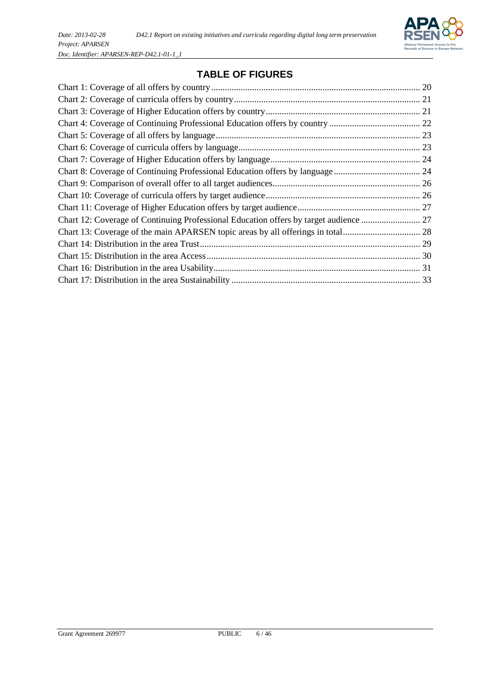

## **[TABLE](http://www.dict.cc/englisch-deutsch/table.html) [OF](http://www.dict.cc/englisch-deutsch/of.html) [FIGURES](http://www.dict.cc/englisch-deutsch/figures.html)**

| Chart 12: Coverage of Continuing Professional Education offers by target audience  27 |  |
|---------------------------------------------------------------------------------------|--|
|                                                                                       |  |
|                                                                                       |  |
|                                                                                       |  |
|                                                                                       |  |
|                                                                                       |  |
|                                                                                       |  |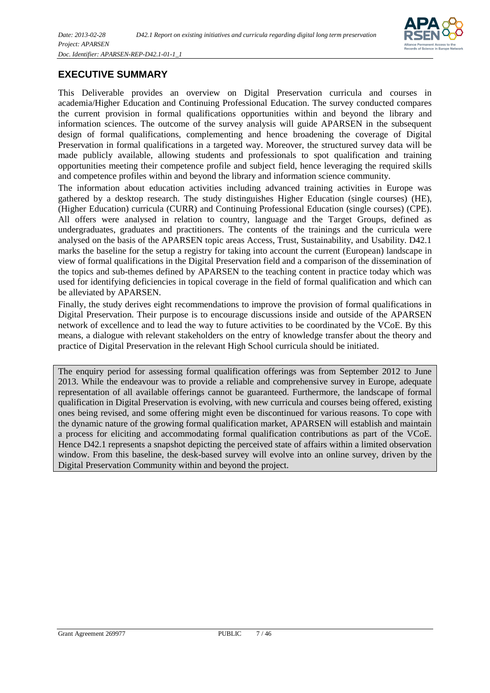

#### <span id="page-6-0"></span>**EXECUTIVE SUMMARY**

This Deliverable provides an overview on Digital Preservation curricula and courses in academia/Higher Education and Continuing Professional Education. The survey conducted compares the current provision in formal qualifications opportunities within and beyond the library and information sciences. The outcome of the survey analysis will guide APARSEN in the subsequent design of formal qualifications, complementing and hence broadening the coverage of Digital Preservation in formal qualifications in a targeted way. Moreover, the structured survey data will be made publicly available, allowing students and professionals to spot qualification and training opportunities meeting their competence profile and subject field, hence leveraging the required skills and competence profiles within and beyond the library and information science community.

The information about education activities including advanced training activities in Europe was gathered by a desktop research. The study distinguishes Higher Education (single courses) (HE), (Higher Education) curricula (CURR) and Continuing Professional Education (single courses) (CPE). All offers were analysed in relation to country, language and the Target Groups, defined as undergraduates, graduates and practitioners. The contents of the trainings and the curricula were analysed on the basis of the APARSEN topic areas Access, Trust, Sustainability, and Usability. D42.1 marks the baseline for the setup a registry for taking into account the current (European) landscape in view of formal qualifications in the Digital Preservation field and a comparison of the dissemination of the topics and sub-themes defined by APARSEN to the teaching content in practice today which was used for identifying deficiencies in topical coverage in the field of formal qualification and which can be alleviated by APARSEN.

Finally, the study derives eight recommendations to improve the provision of formal qualifications in Digital Preservation. Their purpose is to encourage discussions inside and outside of the APARSEN network of excellence and to lead the way to future activities to be coordinated by the VCoE. By this means, a dialogue with relevant stakeholders on the entry of knowledge transfer about the theory and practice of Digital Preservation in the relevant High School curricula should be initiated.

The enquiry period for assessing formal qualification offerings was from September 2012 to June 2013. While the endeavour was to provide a reliable and comprehensive survey in Europe, adequate representation of all available offerings cannot be guaranteed. Furthermore, the landscape of formal qualification in Digital Preservation is evolving, with new curricula and courses being offered, existing ones being revised, and some offering might even be discontinued for various reasons. To cope with the dynamic nature of the growing formal qualification market, APARSEN will establish and maintain a process for eliciting and accommodating formal qualification contributions as part of the VCoE. Hence D42.1 represents a snapshot depicting the perceived state of affairs within a limited observation window. From this baseline, the desk-based survey will evolve into an online survey, driven by the Digital Preservation Community within and beyond the project.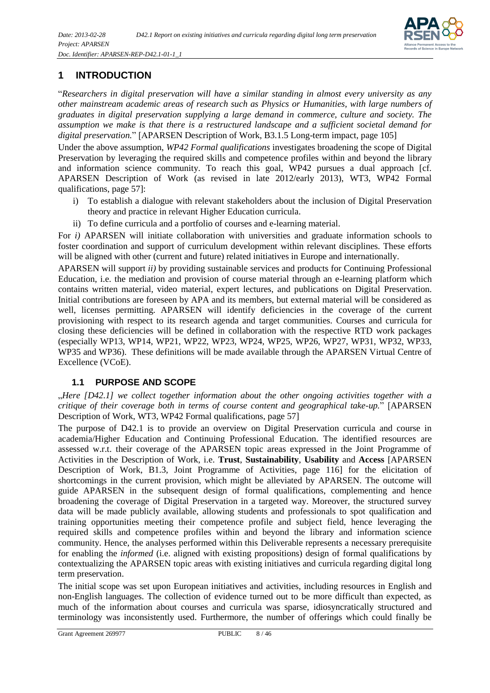

## <span id="page-7-0"></span>**1 INTRODUCTION**

"*Researchers in digital preservation will have a similar standing in almost every university as any other mainstream academic areas of research such as Physics or Humanities, with large numbers of graduates in digital preservation supplying a large demand in commerce, culture and society. The assumption we make is that there is a restructured landscape and a sufficient societal demand for digital preservation.*" [APARSEN Description of Work, B3.1.5 Long-term impact, page 105]

Under the above assumption, *WP42 Formal qualifications* investigates broadening the scope of Digital Preservation by leveraging the required skills and competence profiles within and beyond the library and information science community. To reach this goal, WP42 pursues a dual approach [cf. APARSEN Description of Work (as revised in late 2012/early 2013), WT3, WP42 Formal qualifications, page 57]:

- i) To establish a dialogue with relevant stakeholders about the inclusion of Digital Preservation theory and practice in relevant Higher Education curricula.
- ii) To define curricula and a portfolio of courses and e-learning material.

For *i)* APARSEN will initiate collaboration with universities and graduate information schools to foster coordination and support of curriculum development within relevant disciplines. These efforts will be aligned with other (current and future) related initiatives in Europe and internationally.

APARSEN will support *ii)* by providing sustainable services and products for Continuing Professional Education, i.e. the mediation and provision of course material through an e-learning platform which contains written material, video material, expert lectures, and publications on Digital Preservation. Initial contributions are foreseen by APA and its members, but external material will be considered as well, licenses permitting. APARSEN will identify deficiencies in the coverage of the current provisioning with respect to its research agenda and target communities. Courses and curricula for closing these deficiencies will be defined in collaboration with the respective RTD work packages (especially WP13, WP14, WP21, WP22, WP23, WP24, WP25, WP26, WP27, WP31, WP32, WP33, WP35 and WP36). These definitions will be made available through the APARSEN Virtual Centre of Excellence (VCoE).

#### <span id="page-7-1"></span>**1.1 PURPOSE AND SCOPE**

"*Here [D42.1] we collect together information about the other ongoing activities together with a critique of their coverage both in terms of course content and geographical take-up.*" [APARSEN Description of Work, WT3, WP42 Formal qualifications, page 57]

The purpose of D42.1 is to provide an overview on Digital Preservation curricula and course in academia/Higher Education and Continuing Professional Education. The identified resources are assessed w.r.t. their coverage of the APARSEN topic areas expressed in the Joint Programme of Activities in the Description of Work, i.e. **Trust**, **Sustainability**, **Usability** and **Access** [APARSEN Description of Work, B1.3, Joint Programme of Activities, page 116] for the elicitation of shortcomings in the current provision, which might be alleviated by APARSEN. The outcome will guide APARSEN in the subsequent design of formal qualifications, complementing and hence broadening the coverage of Digital Preservation in a targeted way. Moreover, the structured survey data will be made publicly available, allowing students and professionals to spot qualification and training opportunities meeting their competence profile and subject field, hence leveraging the required skills and competence profiles within and beyond the library and information science community. Hence, the analyses performed within this Deliverable represents a necessary prerequisite for enabling the *informed* (i.e. aligned with existing propositions) design of formal qualifications by contextualizing the APARSEN topic areas with existing initiatives and curricula regarding digital long term preservation.

The initial scope was set upon European initiatives and activities, including resources in English and non-English languages. The collection of evidence turned out to be more difficult than expected, as much of the information about courses and curricula was sparse, idiosyncratically structured and terminology was inconsistently used. Furthermore, the number of offerings which could finally be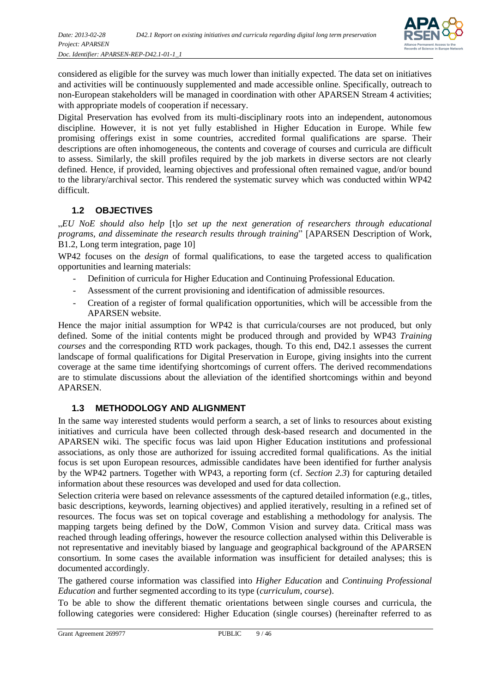

considered as eligible for the survey was much lower than initially expected. The data set on initiatives and activities will be continuously supplemented and made accessible online. Specifically, outreach to non-European stakeholders will be managed in coordination with other APARSEN Stream 4 activities; with appropriate models of cooperation if necessary.

Digital Preservation has evolved from its multi-disciplinary roots into an independent, autonomous discipline. However, it is not yet fully established in Higher Education in Europe. While few promising offerings exist in some countries, accredited formal qualifications are sparse. Their descriptions are often inhomogeneous, the contents and coverage of courses and curricula are difficult to assess. Similarly, the skill profiles required by the job markets in diverse sectors are not clearly defined. Hence, if provided, learning objectives and professional often remained vague, and/or bound to the library/archival sector. This rendered the systematic survey which was conducted within WP42 difficult.

#### <span id="page-8-0"></span>**1.2 OBJECTIVES**

"*EU NoE should also help* [t]*o set up the next generation of researchers through educational programs, and disseminate the research results through training*" [APARSEN Description of Work, B1.2, Long term integration, page 10]

WP42 focuses on the *design* of formal qualifications, to ease the targeted access to qualification opportunities and learning materials:

- Definition of curricula for Higher Education and Continuing Professional Education.
- Assessment of the current provisioning and identification of admissible resources.
- Creation of a register of formal qualification opportunities, which will be accessible from the APARSEN website.

Hence the major initial assumption for WP42 is that curricula/courses are not produced, but only defined. Some of the initial contents might be produced through and provided by WP43 *Training courses* and the corresponding RTD work packages, though. To this end, D42.1 assesses the current landscape of formal qualifications for Digital Preservation in Europe, giving insights into the current coverage at the same time identifying shortcomings of current offers. The derived recommendations are to stimulate discussions about the alleviation of the identified shortcomings within and beyond APARSEN.

#### <span id="page-8-1"></span>**1.3 METHODOLOGY AND ALIGNMENT**

In the same way interested students would perform a search, a set of links to resources about existing initiatives and curricula have been collected through desk-based research and documented in the APARSEN wiki. The specific focus was laid upon Higher Education institutions and professional associations, as only those are authorized for issuing accredited formal qualifications. As the initial focus is set upon European resources, admissible candidates have been identified for further analysis by the WP42 partners. Together with WP43, a reporting form (cf. *Section [2.3](#page-12-0)*) for capturing detailed information about these resources was developed and used for data collection.

Selection criteria were based on relevance assessments of the captured detailed information (e.g., titles, basic descriptions, keywords, learning objectives) and applied iteratively, resulting in a refined set of resources. The focus was set on topical coverage and establishing a methodology for analysis. The mapping targets being defined by the DoW, Common Vision and survey data. Critical mass was reached through leading offerings, however the resource collection analysed within this Deliverable is not representative and inevitably biased by language and geographical background of the APARSEN consortium. In some cases the available information was insufficient for detailed analyses; this is documented accordingly.

The gathered course information was classified into *Higher Education* and *Continuing Professional Education* and further segmented according to its type (*curriculum*, *course*).

To be able to show the different thematic orientations between single courses and curricula, the following categories were considered: Higher Education (single courses) (hereinafter referred to as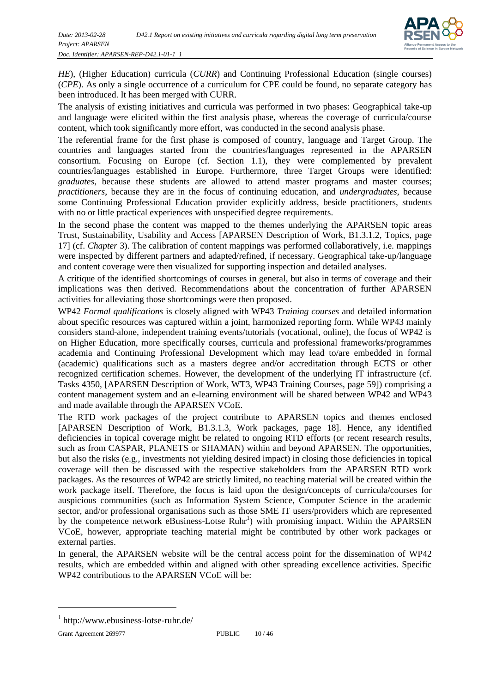

*HE*), (Higher Education) curricula (*CURR*) and Continuing Professional Education (single courses) (*CPE*). As only a single occurrence of a curriculum for CPE could be found, no separate category has been introduced. It has been merged with CURR.

The analysis of existing initiatives and curricula was performed in two phases: Geographical take-up and language were elicited within the first analysis phase, whereas the coverage of curricula/course content, which took significantly more effort, was conducted in the second analysis phase.

The referential frame for the first phase is composed of country, language and Target Group. The countries and languages started from the countries/languages represented in the APARSEN consortium. Focusing on Europe (cf. Section [1.1\)](#page-7-1), they were complemented by prevalent countries/languages established in Europe. Furthermore, three Target Groups were identified: *graduates*, because these students are allowed to attend master programs and master courses; *practitioners*, because they are in the focus of continuing education, and *undergraduates*, because some Continuing Professional Education provider explicitly address, beside practitioners, students with no or little practical experiences with unspecified degree requirements.

In the second phase the content was mapped to the themes underlying the APARSEN topic areas Trust, Sustainability, Usability and Access [APARSEN Description of Work, B1.3.1.2, Topics, page 17] (cf. *Chapter* [3\)](#page-13-2). The calibration of content mappings was performed collaboratively, i.e. mappings were inspected by different partners and adapted/refined, if necessary. Geographical take-up/language and content coverage were then visualized for supporting inspection and detailed analyses.

A critique of the identified shortcomings of courses in general, but also in terms of coverage and their implications was then derived. Recommendations about the concentration of further APARSEN activities for alleviating those shortcomings were then proposed.

WP42 *Formal qualifications* is closely aligned with WP43 *Training courses* and detailed information about specific resources was captured within a joint, harmonized reporting form. While WP43 mainly considers stand-alone, independent training events/tutorials (vocational, online), the focus of WP42 is on Higher Education, more specifically courses, curricula and professional frameworks/programmes academia and Continuing Professional Development which may lead to/are embedded in formal (academic) qualifications such as a masters degree and/or accreditation through ECTS or other recognized certification schemes. However, the development of the underlying IT infrastructure (cf. Tasks 4350, [APARSEN Description of Work, WT3, WP43 Training Courses, page 59]) comprising a content management system and an e-learning environment will be shared between WP42 and WP43 and made available through the APARSEN VCoE.

The RTD work packages of the project contribute to APARSEN topics and themes enclosed [APARSEN Description of Work, B1.3.1.3, Work packages, page 18]. Hence, any identified deficiencies in topical coverage might be related to ongoing RTD efforts (or recent research results, such as from CASPAR, PLANETS or SHAMAN) within and beyond APARSEN. The opportunities, but also the risks (e.g., investments not yielding desired impact) in closing those deficiencies in topical coverage will then be discussed with the respective stakeholders from the APARSEN RTD work packages. As the resources of WP42 are strictly limited, no teaching material will be created within the work package itself. Therefore, the focus is laid upon the design/concepts of curricula/courses for auspicious communities (such as Information System Science, Computer Science in the academic sector, and/or professional organisations such as those SME IT users/providers which are represented by the competence network eBusiness-Lotse Ruhr<sup>1</sup>) with promising impact. Within the APARSEN VCoE, however, appropriate teaching material might be contributed by other work packages or external parties.

In general, the APARSEN website will be the central access point for the dissemination of WP42 results, which are embedded within and aligned with other spreading excellence activities. Specific WP42 contributions to the APARSEN VCoE will be:

l

<sup>&</sup>lt;sup>1</sup> http://www.ebusiness-lotse-ruhr.de/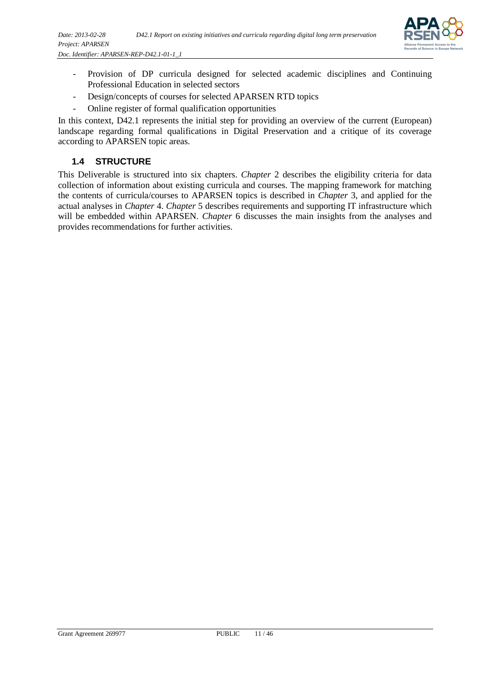

- Provision of DP curricula designed for selected academic disciplines and Continuing Professional Education in selected sectors
- Design/concepts of courses for selected APARSEN RTD topics
- Online register of formal qualification opportunities

In this context, D42.1 represents the initial step for providing an overview of the current (European) landscape regarding formal qualifications in Digital Preservation and a critique of its coverage according to APARSEN topic areas.

#### <span id="page-10-0"></span>**1.4 STRUCTURE**

<span id="page-10-1"></span>This Deliverable is structured into six chapters. *Chapter* [2](#page-10-1) describes the eligibility criteria for data collection of information about existing curricula and courses. The mapping framework for matching the contents of curricula/courses to APARSEN topics is described in *Chapter* [3,](#page-13-2) and applied for the actual analyses in *Chapter* [4.](#page-18-0) *Chapter* [5](#page-34-0) describes requirements and supporting IT infrastructure which will be embedded within APARSEN. *Chapter* [6](#page-40-0) discusses the main insights from the analyses and provides recommendations for further activities.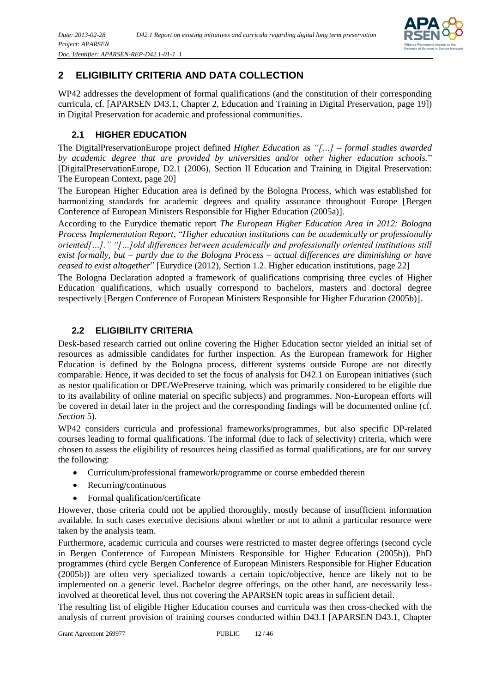

## <span id="page-11-0"></span>**2 ELIGIBILITY CRITERIA AND DATA COLLECTION**

WP42 addresses the development of formal qualifications (and the constitution of their corresponding curricula, cf. [APARSEN D43.1, Chapter 2, Education and Training in Digital Preservation, page 19]) in Digital Preservation for academic and professional communities.

## <span id="page-11-1"></span>**2.1 HIGHER EDUCATION**

The DigitalPreservationEurope project defined *Higher Education* as *"[…] – formal studies awarded by academic degree that are provided by universities and/or other higher education schools.*" [DigitalPreservationEurope, D2.1 (2006), Section II Education and Training in Digital Preservation: The European Context, page 20]

The European Higher Education area is defined by the Bologna Process, which was established for harmonizing standards for academic degrees and quality assurance throughout Europe [Bergen Conference of European Ministers Responsible for Higher Education (2005a)].

According to the Eurydice thematic report *The European Higher Education Area in 2012: Bologna Process Implementation Report*, "*Higher education institutions can be academically or professionally oriented[…]." "[…]old differences between academically and professionally oriented institutions still exist formally, but – partly due to the Bologna Process – actual differences are diminishing or have ceased to exist altogether*" [Eurydice (2012), Section 1.2. Higher education institutions, page 22]

The Bologna Declaration adopted a framework of qualifications comprising three cycles of Higher Education qualifications, which usually correspond to bachelors, masters and doctoral degree respectively [Bergen Conference of European Ministers Responsible for Higher Education (2005b)].

## <span id="page-11-2"></span>**2.2 ELIGIBILITY CRITERIA**

Desk-based research carried out online covering the Higher Education sector yielded an initial set of resources as admissible candidates for further inspection. As the European framework for Higher Education is defined by the Bologna process, different systems outside Europe are not directly comparable. Hence, it was decided to set the focus of analysis for D42.1 on European initiatives (such as nestor qualification or DPE/WePreserve training, which was primarily considered to be eligible due to its availability of online material on specific subjects) and programmes. Non-European efforts will be covered in detail later in the project and the corresponding findings will be documented online (cf. *Section* [5\)](#page-34-0).

WP42 considers curricula and professional frameworks/programmes, but also specific DP-related courses leading to formal qualifications. The informal (due to lack of selectivity) criteria, which were chosen to assess the eligibility of resources being classified as formal qualifications, are for our survey the following:

- Curriculum/professional framework/programme or course embedded therein
- Recurring/continuous
- Formal qualification/certificate

However, those criteria could not be applied thoroughly, mostly because of insufficient information available. In such cases executive decisions about whether or not to admit a particular resource were taken by the analysis team.

Furthermore, academic curricula and courses were restricted to master degree offerings (second cycle in Bergen Conference of European Ministers Responsible for Higher Education (2005b)). PhD programmes (third cycle Bergen Conference of European Ministers Responsible for Higher Education (2005b)) are often very specialized towards a certain topic/objective, hence are likely not to be implemented on a generic level. Bachelor degree offerings, on the other hand, are necessarily lessinvolved at theoretical level, thus not covering the APARSEN topic areas in sufficient detail.

The resulting list of eligible Higher Education courses and curricula was then cross-checked with the analysis of current provision of training courses conducted within D43.1 [APARSEN D43.1, Chapter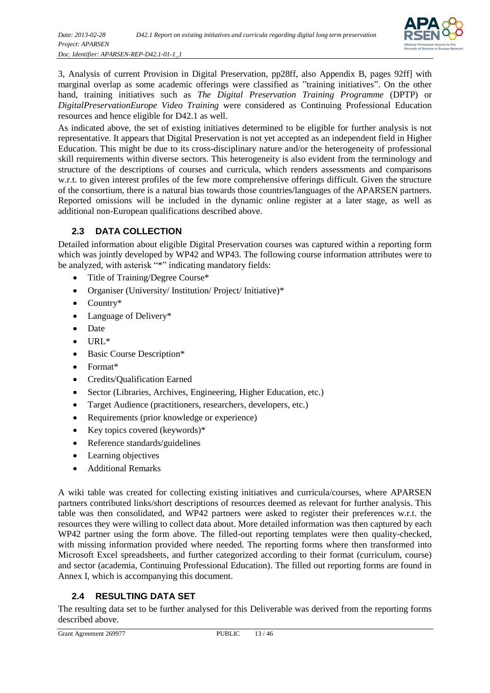

3, Analysis of current Provision in Digital Preservation, pp28ff, also Appendix B, pages 92ff] with marginal overlap as some academic offerings were classified as "training initiatives". On the other hand, training initiatives such as *The Digital Preservation Training Programme* (DPTP) or *DigitalPreservationEurope Video Training* were considered as Continuing Professional Education resources and hence eligible for D42.1 as well.

As indicated above, the set of existing initiatives determined to be eligible for further analysis is not representative. It appears that Digital Preservation is not yet accepted as an independent field in Higher Education. This might be due to its cross-disciplinary nature and/or the heterogeneity of professional skill requirements within diverse sectors. This heterogeneity is also evident from the terminology and structure of the descriptions of courses and curricula, which renders assessments and comparisons w.r.t. to given interest profiles of the few more comprehensive offerings difficult. Given the structure of the consortium, there is a natural bias towards those countries/languages of the APARSEN partners. Reported omissions will be included in the dynamic online register at a later stage, as well as additional non-European qualifications described above.

#### <span id="page-12-0"></span>**2.3 DATA COLLECTION**

Detailed information about eligible Digital Preservation courses was captured within a reporting form which was jointly developed by WP42 and WP43. The following course information attributes were to be analyzed, with asterisk "\*" indicating mandatory fields:

- Title of Training/Degree Course\*
- Organiser (University/ Institution/ Project/ Initiative)\*
- Country\*
- Language of Delivery\*
- Date
- URL\*
- Basic Course Description\*
- Format\*
- Credits/Qualification Earned
- Sector (Libraries, Archives, Engineering, Higher Education, etc.)
- Target Audience (practitioners, researchers, developers, etc.)
- Requirements (prior knowledge or experience)
- Key topics covered (keywords) $*$
- Reference standards/guidelines
- Learning objectives
- Additional Remarks

A wiki table was created for collecting existing initiatives and curricula/courses, where APARSEN partners contributed links/short descriptions of resources deemed as relevant for further analysis. This table was then consolidated, and WP42 partners were asked to register their preferences w.r.t. the resources they were willing to collect data about. More detailed information was then captured by each WP42 partner using the form above. The filled-out reporting templates were then quality-checked, with missing information provided where needed. The reporting forms where then transformed into Microsoft Excel spreadsheets, and further categorized according to their format (curriculum, course) and sector (academia, Continuing Professional Education). The filled out reporting forms are found in Annex I, which is accompanying this document.

#### <span id="page-12-1"></span>**2.4 RESULTING DATA SET**

The resulting data set to be further analysed for this Deliverable was derived from the reporting forms described above.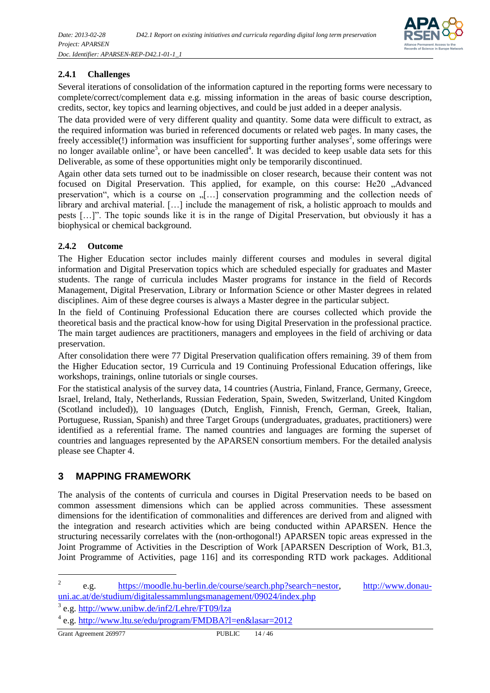

#### <span id="page-13-0"></span>**2.4.1 Challenges**

Several iterations of consolidation of the information captured in the reporting forms were necessary to complete/correct/complement data e.g. missing information in the areas of basic course description, credits, sector, key topics and learning objectives, and could be just added in a deeper analysis.

The data provided were of very different quality and quantity. Some data were difficult to extract, as the required information was buried in referenced documents or related web pages. In many cases, the freely accessible(!) information was insufficient for supporting further analyses<sup>2</sup>, some offerings were no longer available online<sup>3</sup>, or have been cancelled<sup>4</sup>. It was decided to keep usable data sets for this Deliverable, as some of these opportunities might only be temporarily discontinued.

Again other data sets turned out to be inadmissible on closer research, because their content was not focused on Digital Preservation. This applied, for example, on this course: He20 "Advanced preservation", which is a course on  $\lrcorner$ [...] conservation programming and the collection needs of library and archival material. […] include the management of risk, a holistic approach to moulds and pests […]". The topic sounds like it is in the range of Digital Preservation, but obviously it has a biophysical or chemical background.

#### <span id="page-13-1"></span>**2.4.2 Outcome**

The Higher Education sector includes mainly different courses and modules in several digital information and Digital Preservation topics which are scheduled especially for graduates and Master students. The range of curricula includes Master programs for instance in the field of Records Management, Digital Preservation, Library or Information Science or other Master degrees in related disciplines. Aim of these degree courses is always a Master degree in the particular subject.

In the field of Continuing Professional Education there are courses collected which provide the theoretical basis and the practical know-how for using Digital Preservation in the professional practice. The main target audiences are practitioners, managers and employees in the field of archiving or data preservation.

After consolidation there were 77 Digital Preservation qualification offers remaining. 39 of them from the Higher Education sector, 19 Curricula and 19 Continuing Professional Education offerings, like workshops, trainings, online tutorials or single courses.

For the statistical analysis of the survey data, 14 countries (Austria, Finland, France, Germany, Greece, Israel, Ireland, Italy, Netherlands, Russian Federation, Spain, Sweden, Switzerland, United Kingdom (Scotland included)), 10 languages (Dutch, English, Finnish, French, German, Greek, Italian, Portuguese, Russian, Spanish) and three Target Groups (undergraduates, graduates, practitioners) were identified as a referential frame. The named countries and languages are forming the superset of countries and languages represented by the APARSEN consortium members. For the detailed analysis please see Chapter [4.](#page-18-0)

## <span id="page-13-2"></span>**3 MAPPING FRAMEWORK**

The analysis of the contents of curricula and courses in Digital Preservation needs to be based on common assessment dimensions which can be applied across communities. These assessment dimensions for the identification of commonalities and differences are derived from and aligned with the integration and research activities which are being conducted within APARSEN. Hence the structuring necessarily correlates with the (non-orthogonal!) APARSEN topic areas expressed in the Joint Programme of Activities in the Description of Work [APARSEN Description of Work, B1.3, Joint Programme of Activities, page 116] and its corresponding RTD work packages. Additional

l

<sup>2</sup> e.g. [https://moodle.hu-berlin.de/course/search.php?search=nestor,](https://moodle.hu-berlin.de/course/search.php?search=nestor) [http://www.donau](http://www.donau-uni.ac.at/de/studium/digitalessammlungsmanagement/09024/index.php)[uni.ac.at/de/studium/digitalessammlungsmanagement/09024/index.php](http://www.donau-uni.ac.at/de/studium/digitalessammlungsmanagement/09024/index.php)

<sup>&</sup>lt;sup>3</sup> e.g. <http://www.unibw.de/inf2/Lehre/FT09/lza>

<sup>&</sup>lt;sup>4</sup> e.g.<http://www.ltu.se/edu/program/FMDBA?l=en&lasar=2012>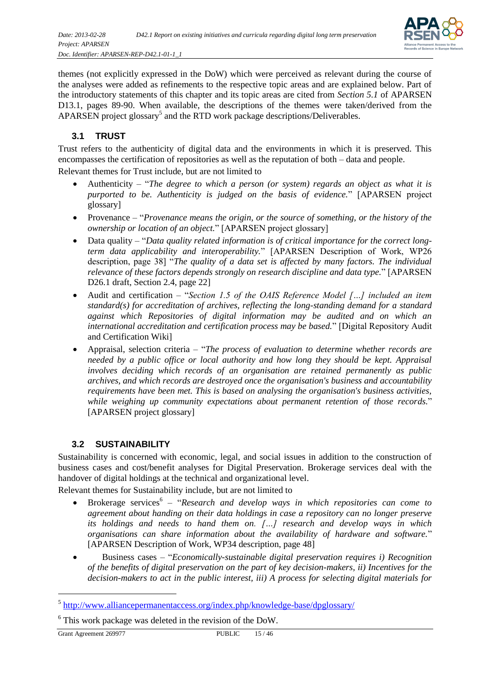

themes (not explicitly expressed in the DoW) which were perceived as relevant during the course of the analyses were added as refinements to the respective topic areas and are explained below. Part of the introductory statements of this chapter and its topic areas are cited from *Section 5.1* of APARSEN D13.1, pages 89-90. When available, the descriptions of the themes were taken/derived from the APARSEN project glossary<sup>5</sup> and the RTD work package descriptions/Deliverables.

#### <span id="page-14-0"></span>**3.1 TRUST**

Trust refers to the authenticity of digital data and the environments in which it is preserved. This encompasses the certification of repositories as well as the reputation of both – data and people.

Relevant themes for Trust include, but are not limited to

- Authenticity "*The degree to which a person (or system) regards an object as what it is purported to be. Authenticity is judged on the basis of evidence.*" [APARSEN project glossary]
- Provenance "*Provenance means the origin, or the source of something, or the history of the ownership or location of an object.*" [APARSEN project glossary]
- Data quality "Data quality related information is of critical importance for the correct long*term data applicability and interoperability.*" [APARSEN Description of Work, WP26 description, page 38] "*The quality of a data set is affected by many factors. The individual relevance of these factors depends strongly on research discipline and data type.*" [APARSEN D26.1 draft, Section 2.4, page 22]
- Audit and certification "*Section 1.5 of the OAIS Reference Model […] included an item standard(s) for accreditation of archives, reflecting the long-standing demand for a standard against which Repositories of digital information may be audited and on which an international accreditation and certification process may be based.*" [Digital Repository Audit and Certification Wiki]
- Appraisal, selection criteria "*The process of evaluation to determine whether records are needed by a public office or local authority and how long they should be kept. Appraisal involves deciding which records of an organisation are retained permanently as public archives, and which records are destroyed once the organisation's business and accountability requirements have been met. This is based on analysing the organisation's business activities, while weighing up community expectations about permanent retention of those records.*" [APARSEN project glossary]

#### <span id="page-14-1"></span>**3.2 SUSTAINABILITY**

Sustainability is concerned with economic, legal, and social issues in addition to the construction of business cases and cost/benefit analyses for Digital Preservation. Brokerage services deal with the handover of digital holdings at the technical and organizational level.

Relevant themes for Sustainability include, but are not limited to

- Brokerage services<sup>6</sup> "*Research and develop ways in which repositories can come to agreement about handing on their data holdings in case a repository can no longer preserve its holdings and needs to hand them on. […] research and develop ways in which organisations can share information about the availability of hardware and software.*" [APARSEN Description of Work, WP34 description, page 48]
- Business cases "*Economically-sustainable digital preservation requires i) Recognition of the benefits of digital preservation on the part of key decision-makers, ii) Incentives for the decision-makers to act in the public interest, iii) A process for selecting digital materials for*

Grant Agreement 269977 PUBLIC 15 / 46

 $\overline{a}$ 

<sup>&</sup>lt;sup>5</sup> http://www.alliancepermanentaccess.org/index.php/knowledge-base/dpglossary/

 $6$  This work package was deleted in the revision of the DoW.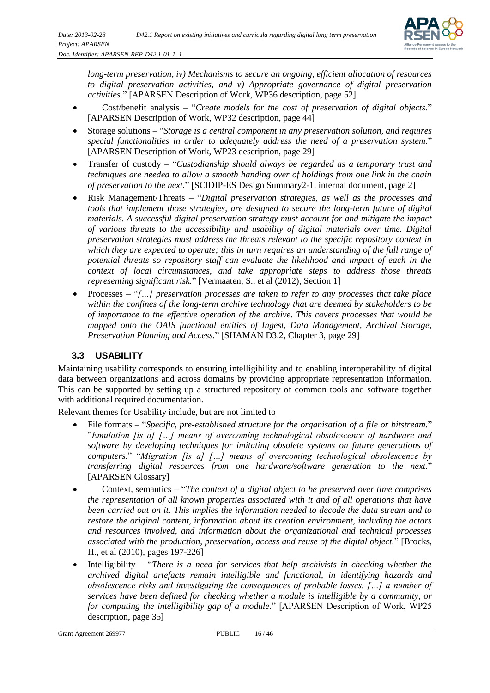

*long-term preservation, iv) Mechanisms to secure an ongoing, efficient allocation of resources to digital preservation activities, and v) Appropriate governance of digital preservation activities.*" [APARSEN Description of Work, WP36 description, page 52]

- Cost/benefit analysis "*Create models for the cost of preservation of digital objects.*" [APARSEN Description of Work, WP32 description, page 44]
- Storage solutions "*Storage is a central component in any preservation solution, and requires special functionalities in order to adequately address the need of a preservation system.*" [APARSEN Description of Work, WP23 description, page 29]
- Transfer of custody "*Custodianship should always be regarded as a temporary trust and techniques are needed to allow a smooth handing over of holdings from one link in the chain of preservation to the next.*" [SCIDIP-ES Design Summary2-1, internal document, page 2]
- Risk Management/Threats "*Digital preservation strategies, as well as the processes and tools that implement those strategies, are designed to secure the long-term future of digital materials. A successful digital preservation strategy must account for and mitigate the impact of various threats to the accessibility and usability of digital materials over time. Digital preservation strategies must address the threats relevant to the specific repository context in which they are expected to operate; this in turn requires an understanding of the full range of potential threats so repository staff can evaluate the likelihood and impact of each in the context of local circumstances, and take appropriate steps to address those threats representing significant risk.*" [Vermaaten, S., et al (2012), Section 1]
- Processes "*[…] preservation processes are taken to refer to any processes that take place within the confines of the long-term archive technology that are deemed by stakeholders to be of importance to the effective operation of the archive. This covers processes that would be mapped onto the OAIS functional entities of Ingest, Data Management, Archival Storage, Preservation Planning and Access.*" [SHAMAN D3.2, Chapter 3, page 29]

#### <span id="page-15-0"></span>**3.3 USABILITY**

Maintaining usability corresponds to ensuring intelligibility and to enabling interoperability of digital data between organizations and across domains by providing appropriate representation information. This can be supported by setting up a structured repository of common tools and software together with additional required documentation.

Relevant themes for Usability include, but are not limited to

- File formats "*Specific, pre-established structure for the organisation of a file or bitstream.*" "*Emulation [is a] […] means of overcoming technological obsolescence of hardware and software by developing techniques for imitating obsolete systems on future generations of computers.*" "*Migration [is a] […] means of overcoming technological obsolescence by transferring digital resources from one hardware/software generation to the next.*" [APARSEN Glossary]
- Context, semantics "*The context of a digital object to be preserved over time comprises the representation of all known properties associated with it and of all operations that have been carried out on it. This implies the information needed to decode the data stream and to restore the original content, information about its creation environment, including the actors and resources involved, and information about the organizational and technical processes associated with the production, preservation, access and reuse of the digital object.*" [Brocks, H., et al (2010), pages 197-226]
- Intelligibility "*There is a need for services that help archivists in checking whether the archived digital artefacts remain intelligible and functional, in identifying hazards and obsolescence risks and investigating the consequences of probable losses. […] a number of services have been defined for checking whether a module is intelligible by a community, or for computing the intelligibility gap of a module.*" [APARSEN Description of Work, WP25 description, page 35]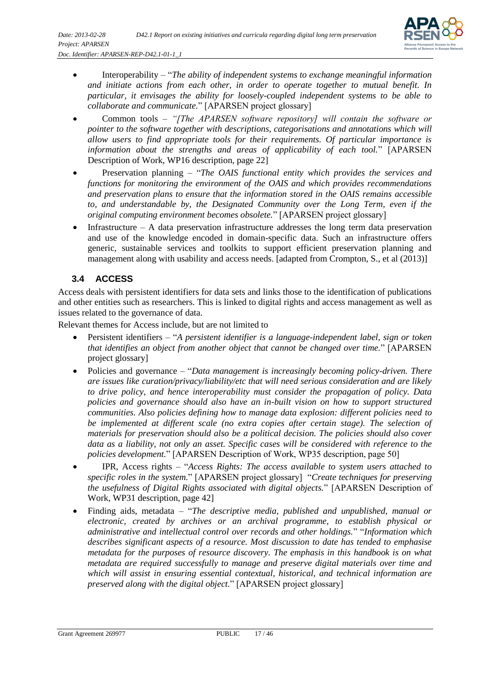

- Interoperability "*The ability of independent systems to exchange meaningful information and initiate actions from each other, in order to operate together to mutual benefit. In particular, it envisages the ability for loosely-coupled independent systems to be able to collaborate and communicate.*" [APARSEN project glossary]
- Common tools *"[The APARSEN software repository] will contain the software or pointer to the software together with descriptions, categorisations and annotations which will allow users to find appropriate tools for their requirements. Of particular importance is information about the strengths and areas of applicability of each tool.*" [APARSEN Description of Work, WP16 description, page 22]
- Preservation planning "*The OAIS functional entity which provides the services and functions for monitoring the environment of the OAIS and which provides recommendations and preservation plans to ensure that the information stored in the OAIS remains accessible to, and understandable by, the Designated Community over the Long Term, even if the original computing environment becomes obsolete.*" [APARSEN project glossary]
- Infrastructure A data preservation infrastructure addresses the long term data preservation and use of the knowledge encoded in domain-specific data. Such an infrastructure offers generic, sustainable services and toolkits to support efficient preservation planning and management along with usability and access needs. [adapted from Crompton, S., et al (2013)]

## <span id="page-16-0"></span>**3.4 ACCESS**

Access deals with persistent identifiers for data sets and links those to the identification of publications and other entities such as researchers. This is linked to digital rights and access management as well as issues related to the governance of data.

Relevant themes for Access include, but are not limited to

- Persistent identifiers "*A persistent identifier is a language-independent label, sign or token that identifies an object from another object that cannot be changed over time.*" [APARSEN project glossary]
- Policies and governance "*Data management is increasingly becoming policy-driven. There are issues like curation/privacy/liability/etc that will need serious consideration and are likely to drive policy, and hence interoperability must consider the propagation of policy. Data policies and governance should also have an in-built vision on how to support structured communities. Also policies defining how to manage data explosion: different policies need to*  be implemented at different scale (no extra copies after certain stage). The selection of *materials for preservation should also be a political decision. The policies should also cover data as a liability, not only an asset. Specific cases will be considered with reference to the policies development.*" [APARSEN Description of Work, WP35 description, page 50]
- IPR, Access rights "*Access Rights: The access available to system users attached to specific roles in the system.*" [APARSEN project glossary] "*Create techniques for preserving the usefulness of Digital Rights associated with digital objects.*" [APARSEN Description of Work, WP31 description, page 42]
- Finding aids, metadata "*The descriptive media, published and unpublished, manual or electronic, created by archives or an archival programme, to establish physical or administrative and intellectual control over records and other holdings.*" "*Information which describes significant aspects of a resource. Most discussion to date has tended to emphasise metadata for the purposes of resource discovery. The emphasis in this handbook is on what metadata are required successfully to manage and preserve digital materials over time and which will assist in ensuring essential contextual, historical, and technical information are preserved along with the digital object.*" [APARSEN project glossary]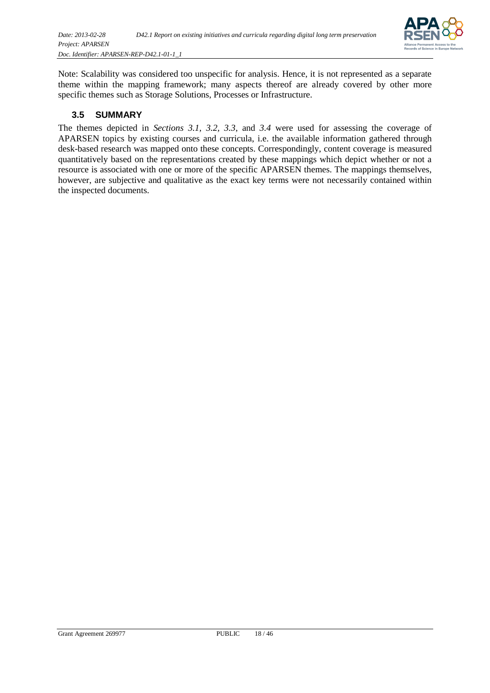

Note: Scalability was considered too unspecific for analysis. Hence, it is not represented as a separate theme within the mapping framework; many aspects thereof are already covered by other more specific themes such as Storage Solutions, Processes or Infrastructure.

#### <span id="page-17-0"></span>**3.5 SUMMARY**

The themes depicted in *Sections [3.1,](#page-14-0) [3.2,](#page-14-1) [3.3](#page-15-0)*, and *[3.4](#page-16-0)* were used for assessing the coverage of APARSEN topics by existing courses and curricula, i.e. the available information gathered through desk-based research was mapped onto these concepts. Correspondingly, content coverage is measured quantitatively based on the representations created by these mappings which depict whether or not a resource is associated with one or more of the specific APARSEN themes. The mappings themselves, however, are subjective and qualitative as the exact key terms were not necessarily contained within the inspected documents.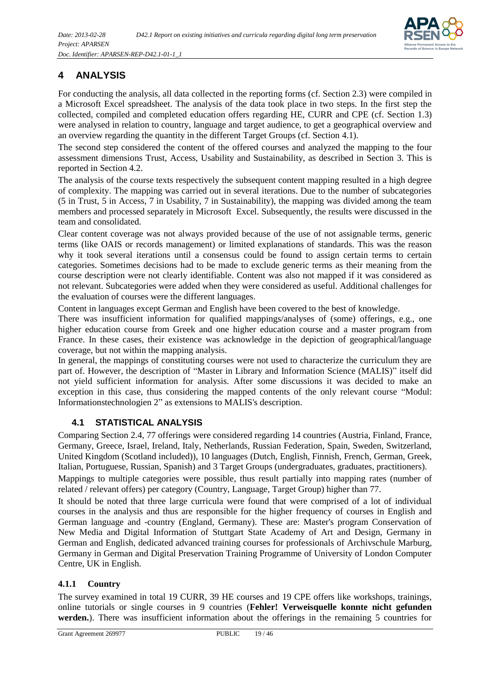

## <span id="page-18-0"></span>**4 ANALYSIS**

For conducting the analysis, all data collected in the reporting forms (cf. Section 2.3) were compiled in a Microsoft Excel spreadsheet. The analysis of the data took place in two steps. In the first step the collected, compiled and completed education offers regarding HE, CURR and CPE (cf. Section 1.3) were analysed in relation to country, language and target audience, to get a geographical overview and an overview regarding the quantity in the different Target Groups (cf. Section 4.1).

The second step considered the content of the offered courses and analyzed the mapping to the four assessment dimensions Trust, Access, Usability and Sustainability, as described in Section 3. This is reported in Section 4.2.

The analysis of the course texts respectively the subsequent content mapping resulted in a high degree of complexity. The mapping was carried out in several iterations. Due to the number of subcategories (5 in Trust, 5 in Access, 7 in Usability, 7 in Sustainability), the mapping was divided among the team members and processed separately in Microsoft Excel. Subsequently, the results were discussed in the team and consolidated.

Clear content coverage was not always provided because of the use of not assignable terms, generic terms (like OAIS or records management) or limited explanations of standards. This was the reason why it took several iterations until a consensus could be found to assign certain terms to certain categories. Sometimes decisions had to be made to exclude generic terms as their meaning from the course description were not clearly identifiable. Content was also not mapped if it was considered as not relevant. Subcategories were added when they were considered as useful. Additional challenges for the evaluation of courses were the different languages.

Content in languages except German and English have been covered to the best of knowledge.

There was insufficient information for qualified mappings/analyses of (some) offerings, e.g., one higher education course from Greek and one higher education course and a master program from France. In these cases, their existence was acknowledge in the depiction of geographical/language coverage, but not within the mapping analysis.

In general, the mappings of constituting courses were not used to characterize the curriculum they are part of. However, the description of "Master in Library and Information Science (MALIS)" itself did not yield sufficient information for analysis. After some discussions it was decided to make an exception in this case, thus considering the mapped contents of the only relevant course "Modul: Informationstechnologien 2" as extensions to MALIS's description.

#### <span id="page-18-1"></span>**4.1 STATISTICAL ANALYSIS**

Comparing Section 2.4, 77 offerings were considered regarding 14 countries (Austria, Finland, France, Germany, Greece, Israel, Ireland, Italy, Netherlands, Russian Federation, Spain, Sweden, Switzerland, United Kingdom (Scotland included)), 10 languages (Dutch, English, Finnish, French, German, Greek, Italian, Portuguese, Russian, Spanish) and 3 Target Groups (undergraduates, graduates, practitioners).

Mappings to multiple categories were possible, thus result partially into mapping rates (number of related / relevant offers) per category (Country, Language, Target Group) higher than 77.

It should be noted that three large curricula were found that were comprised of a lot of individual courses in the analysis and thus are responsible for the higher frequency of courses in English and German language and -country (England, Germany). These are: Master's program Conservation of New Media and Digital Information of Stuttgart State Academy of Art and Design, Germany in German and English, dedicated advanced training courses for professionals of Archivschule Marburg, Germany in German and Digital Preservation Training Programme of University of London Computer Centre, UK in English.

#### <span id="page-18-2"></span>**4.1.1 Country**

The survey examined in total 19 CURR, 39 HE courses and 19 CPE offers like workshops, trainings, online tutorials or single courses in 9 countries (**Fehler! Verweisquelle konnte nicht gefunden werden.**). There was insufficient information about the offerings in the remaining 5 countries for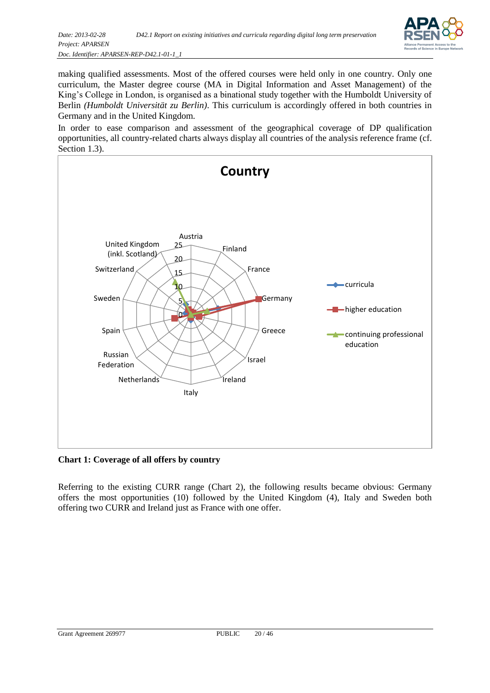

making qualified assessments. Most of the offered courses were held only in one country. Only one curriculum, the Master degree course (MA in Digital Information and Asset Management) of the King's College in London, is organised as a binational study together with the Humboldt University of Berlin *(Humboldt Universität zu Berlin)*. This curriculum is accordingly offered in both countries in Germany and in the United Kingdom.

In order to ease comparison and assessment of the geographical coverage of DP qualification opportunities, all country-related charts always display all countries of the analysis reference frame (cf. Section 1.3).



<span id="page-19-0"></span>**Chart 1: Coverage of all offers by country**

Referring to the existing CURR range (Chart 2), the following results became obvious: Germany offers the most opportunities (10) followed by the United Kingdom (4), Italy and Sweden both offering two CURR and Ireland just as France with one offer.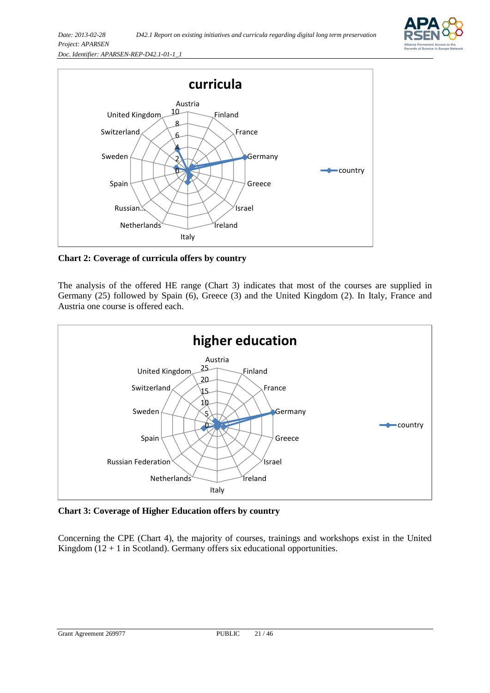



<span id="page-20-0"></span>**Chart 2: Coverage of curricula offers by country**

The analysis of the offered HE range (Chart 3) indicates that most of the courses are supplied in Germany (25) followed by Spain (6), Greece (3) and the United Kingdom (2). In Italy, France and Austria one course is offered each.



<span id="page-20-1"></span>**Chart 3: Coverage of Higher Education offers by country**

Concerning the CPE (Chart 4), the majority of courses, trainings and workshops exist in the United Kingdom  $(12 + 1$  in Scotland). Germany offers six educational opportunities.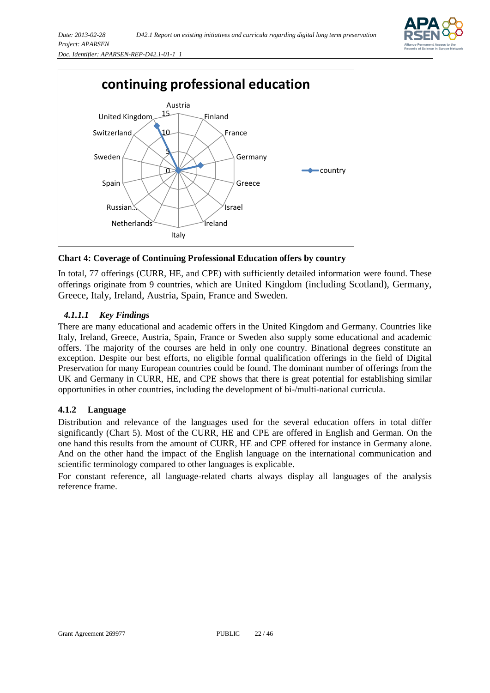



<span id="page-21-1"></span>**Chart 4: Coverage of Continuing Professional Education offers by country**

In total, 77 offerings (CURR, HE, and CPE) with sufficiently detailed information were found. These offerings originate from 9 countries, which are United Kingdom (including Scotland), Germany, Greece, Italy, Ireland, Austria, Spain, France and Sweden.

#### *4.1.1.1 Key Findings*

There are many educational and academic offers in the United Kingdom and Germany. Countries like Italy, Ireland, Greece, Austria, Spain, France or Sweden also supply some educational and academic offers. The majority of the courses are held in only one country. Binational degrees constitute an exception. Despite our best efforts, no eligible formal qualification offerings in the field of Digital Preservation for many European countries could be found. The dominant number of offerings from the UK and Germany in CURR, HE, and CPE shows that there is great potential for establishing similar opportunities in other countries, including the development of bi-/multi-national curricula.

#### <span id="page-21-0"></span>**4.1.2 Language**

Distribution and relevance of the languages used for the several education offers in total differ significantly (Chart 5). Most of the CURR, HE and CPE are offered in English and German. On the one hand this results from the amount of CURR, HE and CPE offered for instance in Germany alone. And on the other hand the impact of the English language on the international communication and scientific terminology compared to other languages is explicable.

For constant reference, all language-related charts always display all languages of the analysis reference frame.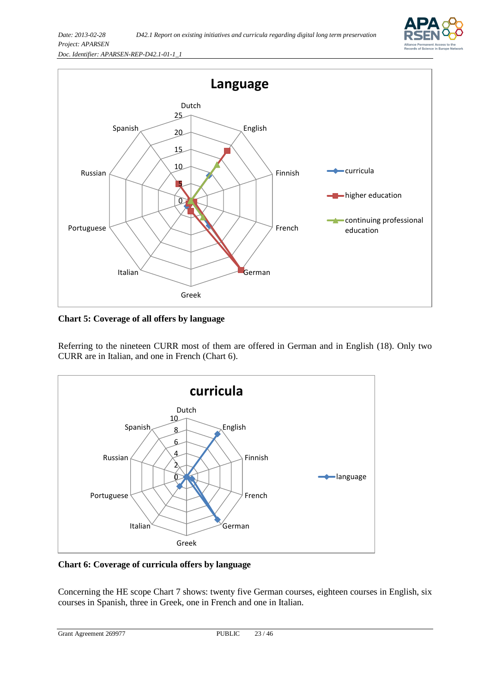



<span id="page-22-0"></span>**Chart 5: Coverage of all offers by language**

Referring to the nineteen CURR most of them are offered in German and in English (18). Only two CURR are in Italian, and one in French (Chart 6).



<span id="page-22-1"></span>**Chart 6: Coverage of curricula offers by language**

Concerning the HE scope Chart 7 shows: twenty five German courses, eighteen courses in English, six courses in Spanish, three in Greek, one in French and one in Italian.

```
Grant Agreement 269977 PUBLIC 23 / 46
```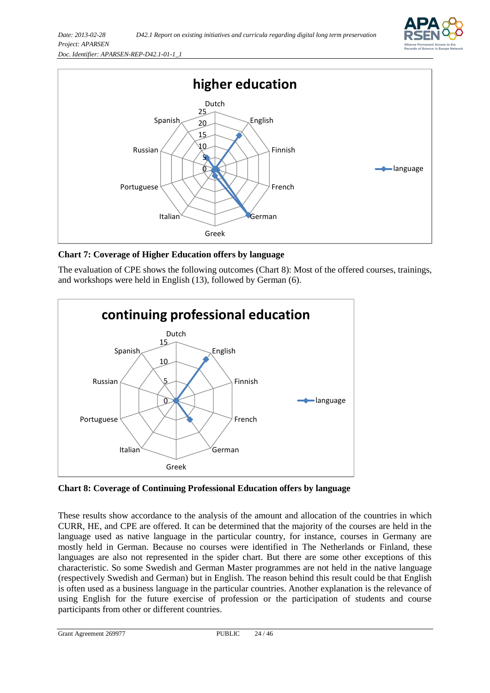



<span id="page-23-0"></span>**Chart 7: Coverage of Higher Education offers by language**

The evaluation of CPE shows the following outcomes (Chart 8): Most of the offered courses, trainings, and workshops were held in English (13), followed by German (6).



<span id="page-23-1"></span>**Chart 8: Coverage of Continuing Professional Education offers by language**

These results show accordance to the analysis of the amount and allocation of the countries in which CURR, HE, and CPE are offered. It can be determined that the majority of the courses are held in the language used as native language in the particular country, for instance, courses in Germany are mostly held in German. Because no courses were identified in The Netherlands or Finland, these languages are also not represented in the spider chart. But there are some other exceptions of this characteristic. So some Swedish and German Master programmes are not held in the native language (respectively Swedish and German) but in English. The reason behind this result could be that English is often used as a business language in the particular countries. Another explanation is the relevance of using English for the future exercise of profession or the participation of students and course participants from other or different countries.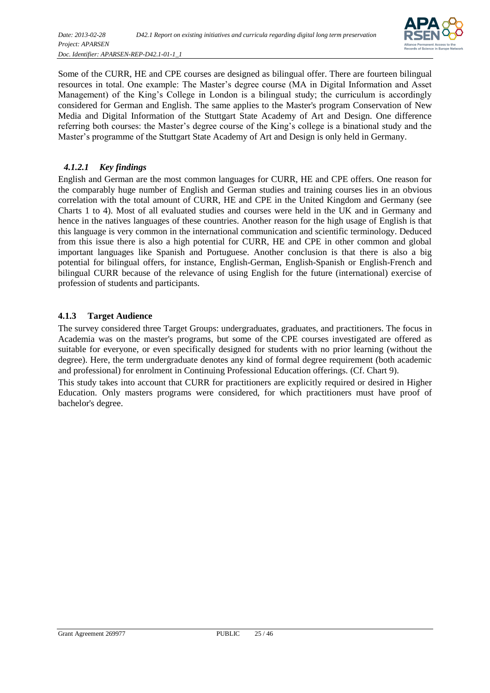

Some of the CURR, HE and CPE courses are designed as bilingual offer. There are fourteen bilingual resources in total. One example: The Master's degree course (MA in Digital Information and Asset Management) of the King's College in London is a bilingual study; the curriculum is accordingly considered for German and English. The same applies to the Master's program Conservation of New Media and Digital Information of the Stuttgart State Academy of Art and Design. One difference referring both courses: the Master's degree course of the King's college is a binational study and the Master's programme of the Stuttgart State Academy of Art and Design is only held in Germany.

#### *4.1.2.1 Key findings*

English and German are the most common languages for CURR, HE and CPE offers. One reason for the comparably huge number of English and German studies and training courses lies in an obvious correlation with the total amount of CURR, HE and CPE in the United Kingdom and Germany (see Charts 1 to 4). Most of all evaluated studies and courses were held in the UK and in Germany and hence in the natives languages of these countries. Another reason for the high usage of English is that this language is very common in the international communication and scientific terminology. Deduced from this issue there is also a high potential for CURR, HE and CPE in other common and global important languages like Spanish and Portuguese. Another conclusion is that there is also a big potential for bilingual offers, for instance, English-German, English-Spanish or English-French and bilingual CURR because of the relevance of using English for the future (international) exercise of profession of students and participants.

#### <span id="page-24-0"></span>**4.1.3 Target Audience**

The survey considered three Target Groups: undergraduates, graduates, and practitioners. The focus in Academia was on the master's programs, but some of the CPE courses investigated are offered as suitable for everyone, or even specifically designed for students with no prior learning (without the degree). Here, the term undergraduate denotes any kind of formal degree requirement (both academic and professional) for enrolment in Continuing Professional Education offerings. (Cf. Chart 9).

This study takes into account that CURR for practitioners are explicitly required or desired in Higher Education. Only masters programs were considered, for which practitioners must have proof of bachelor's degree.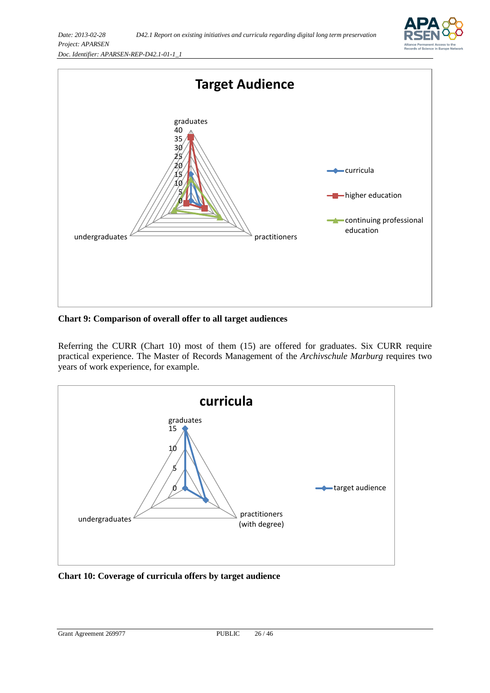



<span id="page-25-0"></span>**Chart 9: Comparison of overall offer to all target audiences**

Referring the CURR (Chart 10) most of them (15) are offered for graduates. Six CURR require practical experience. The Master of Records Management of the *Archivschule Marburg* requires two years of work experience, for example.



<span id="page-25-1"></span>**Chart 10: Coverage of curricula offers by target audience**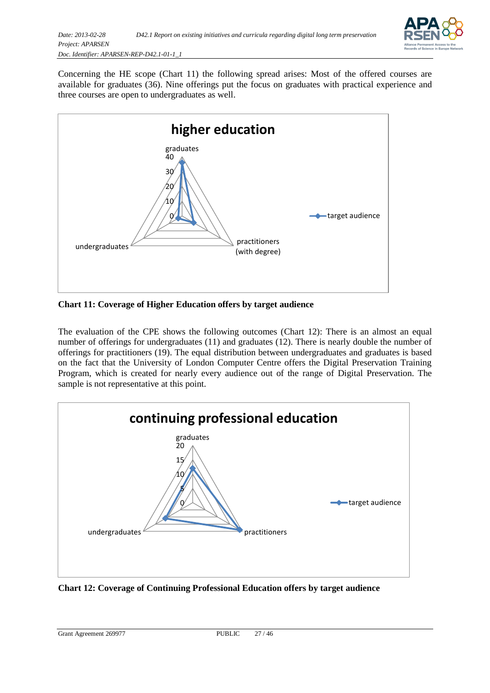

Concerning the HE scope (Chart 11) the following spread arises: Most of the offered courses are available for graduates (36). Nine offerings put the focus on graduates with practical experience and three courses are open to undergraduates as well.



<span id="page-26-0"></span>**Chart 11: Coverage of Higher Education offers by target audience**

The evaluation of the CPE shows the following outcomes (Chart 12): There is an almost an equal number of offerings for undergraduates (11) and graduates (12). There is nearly double the number of offerings for practitioners (19). The equal distribution between undergraduates and graduates is based on the fact that the University of London Computer Centre offers the Digital Preservation Training Program, which is created for nearly every audience out of the range of Digital Preservation. The sample is not representative at this point.



<span id="page-26-1"></span>**Chart 12: Coverage of Continuing Professional Education offers by target audience**

Grant Agreement 269977 PUBLIC 27 / 46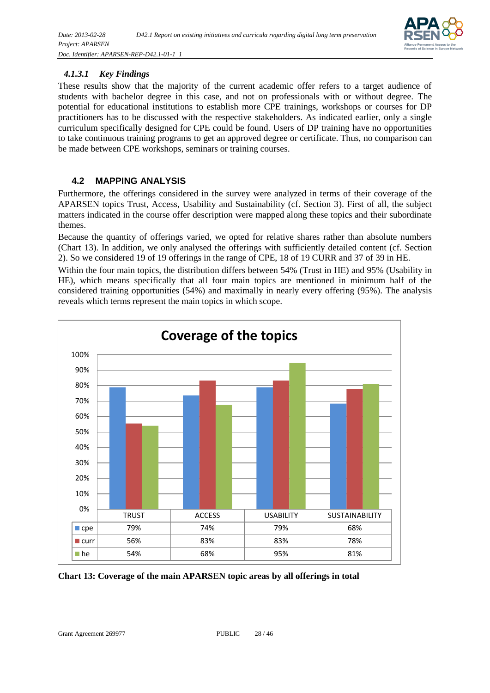

#### *4.1.3.1 Key Findings*

These results show that the majority of the current academic offer refers to a target audience of students with bachelor degree in this case, and not on professionals with or without degree. The potential for educational institutions to establish more CPE trainings, workshops or courses for DP practitioners has to be discussed with the respective stakeholders. As indicated earlier, only a single curriculum specifically designed for CPE could be found. Users of DP training have no opportunities to take continuous training programs to get an approved degree or certificate. Thus, no comparison can be made between CPE workshops, seminars or training courses.

#### <span id="page-27-0"></span>**4.2 MAPPING ANALYSIS**

Furthermore, the offerings considered in the survey were analyzed in terms of their coverage of the APARSEN topics Trust, Access, Usability and Sustainability (cf. Section 3). First of all, the subject matters indicated in the course offer description were mapped along these topics and their subordinate themes.

Because the quantity of offerings varied, we opted for relative shares rather than absolute numbers (Chart 13). In addition, we only analysed the offerings with sufficiently detailed content (cf. Section 2). So we considered 19 of 19 offerings in the range of CPE, 18 of 19 CURR and 37 of 39 in HE.

Within the four main topics, the distribution differs between 54% (Trust in HE) and 95% (Usability in HE), which means specifically that all four main topics are mentioned in minimum half of the considered training opportunities (54%) and maximally in nearly every offering (95%). The analysis reveals which terms represent the main topics in which scope.



<span id="page-27-1"></span>**Chart 13: Coverage of the main APARSEN topic areas by all offerings in total**

Grant Agreement 269977 PUBLIC 28 / 46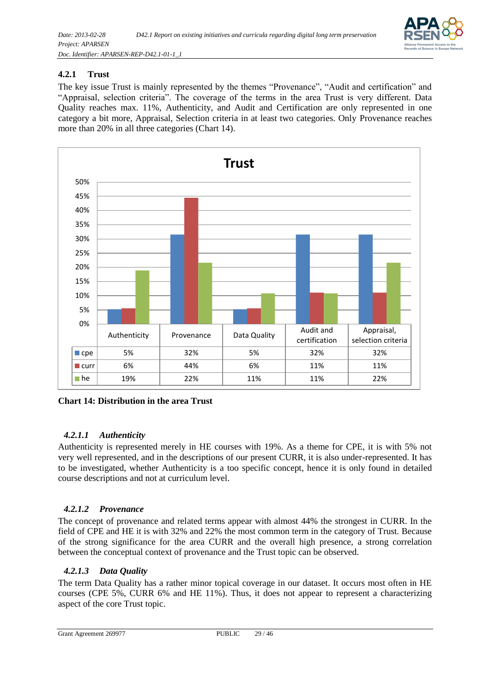

#### <span id="page-28-0"></span>**4.2.1 Trust**

The key issue Trust is mainly represented by the themes "Provenance", "Audit and certification" and "Appraisal, selection criteria". The coverage of the terms in the area Trust is very different. Data Quality reaches max. 11%, Authenticity, and Audit and Certification are only represented in one category a bit more, Appraisal, Selection criteria in at least two categories. Only Provenance reaches more than 20% in all three categories (Chart 14).



<span id="page-28-1"></span>**Chart 14: Distribution in the area Trust**

#### *4.2.1.1 Authenticity*

Authenticity is represented merely in HE courses with 19%. As a theme for CPE, it is with 5% not very well represented, and in the descriptions of our present CURR, it is also under-represented. It has to be investigated, whether Authenticity is a too specific concept, hence it is only found in detailed course descriptions and not at curriculum level.

#### *4.2.1.2 Provenance*

The concept of provenance and related terms appear with almost 44% the strongest in CURR. In the field of CPE and HE it is with 32% and 22% the most common term in the category of Trust. Because of the strong significance for the area CURR and the overall high presence, a strong correlation between the conceptual context of provenance and the Trust topic can be observed.

#### *4.2.1.3 Data Quality*

The term Data Quality has a rather minor topical coverage in our dataset. It occurs most often in HE courses (CPE 5%, CURR 6% and HE 11%). Thus, it does not appear to represent a characterizing aspect of the core Trust topic.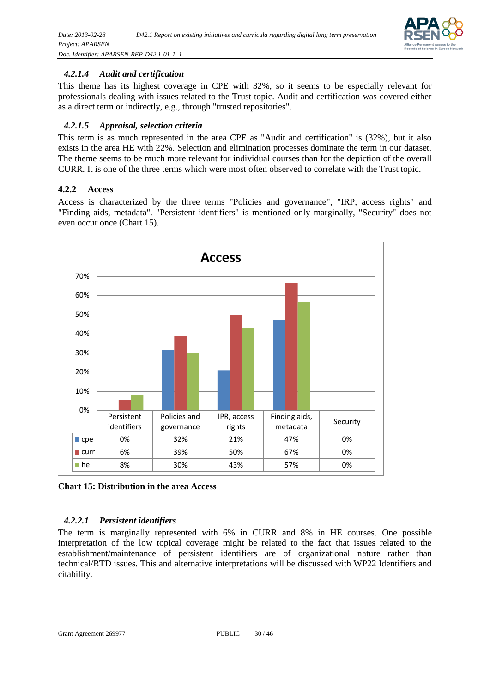

#### *4.2.1.4 Audit and certification*

This theme has its highest coverage in CPE with 32%, so it seems to be especially relevant for professionals dealing with issues related to the Trust topic. Audit and certification was covered either as a direct term or indirectly, e.g., through "trusted repositories".

#### *4.2.1.5 Appraisal, selection criteria*

This term is as much represented in the area CPE as "Audit and certification" is (32%), but it also exists in the area HE with 22%. Selection and elimination processes dominate the term in our dataset. The theme seems to be much more relevant for individual courses than for the depiction of the overall CURR. It is one of the three terms which were most often observed to correlate with the Trust topic.

#### <span id="page-29-0"></span>**4.2.2 Access**

Access is characterized by the three terms "Policies and governance", "IRP, access rights" and "Finding aids, metadata". "Persistent identifiers" is mentioned only marginally, "Security" does not even occur once (Chart 15).



<span id="page-29-1"></span>**Chart 15: Distribution in the area Access**

#### *4.2.2.1 Persistent identifiers*

The term is marginally represented with 6% in CURR and 8% in HE courses. One possible interpretation of the low topical coverage might be related to the fact that issues related to the establishment/maintenance of persistent identifiers are of organizational nature rather than technical/RTD issues. This and alternative interpretations will be discussed with WP22 Identifiers and citability.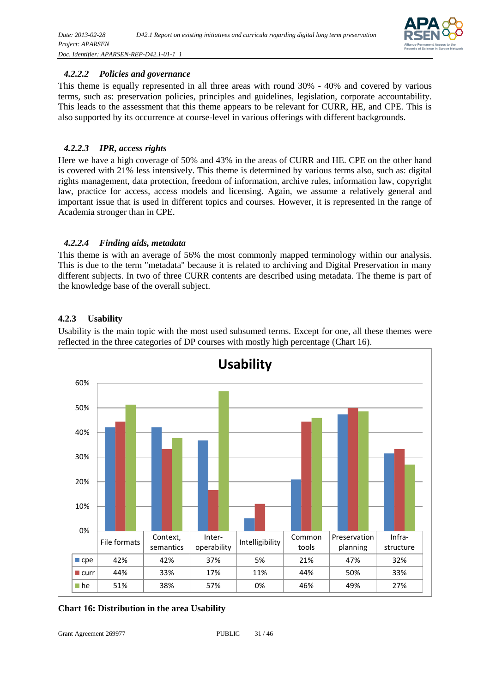

#### *4.2.2.2 Policies and governance*

This theme is equally represented in all three areas with round 30% - 40% and covered by various terms, such as: preservation policies, principles and guidelines, legislation, corporate accountability. This leads to the assessment that this theme appears to be relevant for CURR, HE, and CPE. This is also supported by its occurrence at course-level in various offerings with different backgrounds.

#### *4.2.2.3 IPR, access rights*

Here we have a high coverage of 50% and 43% in the areas of CURR and HE. CPE on the other hand is covered with 21% less intensively. This theme is determined by various terms also, such as: digital rights management, data protection, freedom of information, archive rules, information law, copyright law, practice for access, access models and licensing. Again, we assume a relatively general and important issue that is used in different topics and courses. However, it is represented in the range of Academia stronger than in CPE.

#### *4.2.2.4 Finding aids, metadata*

This theme is with an average of 56% the most commonly mapped terminology within our analysis. This is due to the term "metadata" because it is related to archiving and Digital Preservation in many different subjects. In two of three CURR contents are described using metadata. The theme is part of the knowledge base of the overall subject.

#### <span id="page-30-0"></span>**4.2.3 Usability**



Usability is the main topic with the most used subsumed terms. Except for one, all these themes were reflected in the three categories of DP courses with mostly high percentage (Chart 16).

#### <span id="page-30-1"></span>**Chart 16: Distribution in the area Usability**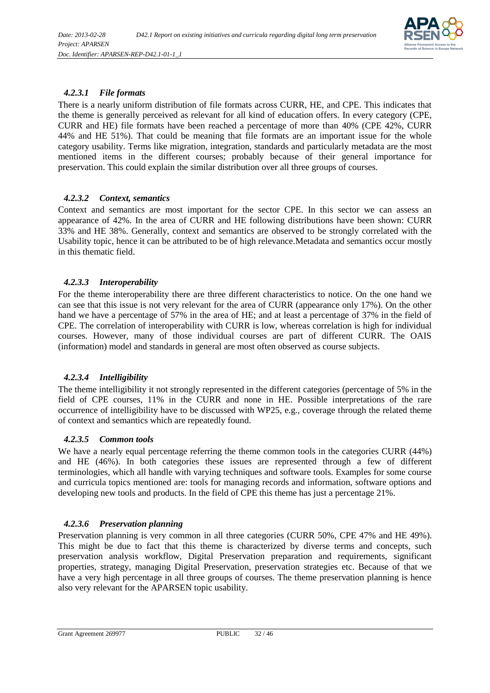

#### *4.2.3.1 File formats*

There is a nearly uniform distribution of file formats across CURR, HE, and CPE. This indicates that the theme is generally perceived as relevant for all kind of education offers. In every category (CPE, CURR and HE) file formats have been reached a percentage of more than 40% (CPE 42%, CURR 44% and HE 51%). That could be meaning that file formats are an important issue for the whole category usability. Terms like migration, integration, standards and particularly metadata are the most mentioned items in the different courses; probably because of their general importance for preservation. This could explain the similar distribution over all three groups of courses.

#### *4.2.3.2 Context, semantics*

Context and semantics are most important for the sector CPE. In this sector we can assess an appearance of 42%. In the area of CURR and HE following distributions have been shown: CURR 33% and HE 38%. Generally, context and semantics are observed to be strongly correlated with the Usability topic, hence it can be attributed to be of high relevance.Metadata and semantics occur mostly in this thematic field.

#### *4.2.3.3 Interoperability*

For the theme interoperability there are three different characteristics to notice. On the one hand we can see that this issue is not very relevant for the area of CURR (appearance only 17%). On the other hand we have a percentage of 57% in the area of HE; and at least a percentage of 37% in the field of CPE. The correlation of interoperability with CURR is low, whereas correlation is high for individual courses. However, many of those individual courses are part of different CURR. The OAIS (information) model and standards in general are most often observed as course subjects.

#### *4.2.3.4 Intelligibility*

The theme intelligibility it not strongly represented in the different categories (percentage of 5% in the field of CPE courses, 11% in the CURR and none in HE. Possible interpretations of the rare occurrence of intelligibility have to be discussed with WP25, e.g., coverage through the related theme of context and semantics which are repeatedly found.

#### *4.2.3.5 Common tools*

We have a nearly equal percentage referring the theme common tools in the categories CURR (44%) and HE (46%). In both categories these issues are represented through a few of different terminologies, which all handle with varying techniques and software tools. Examples for some course and curricula topics mentioned are: tools for managing records and information, software options and developing new tools and products. In the field of CPE this theme has just a percentage 21%.

#### *4.2.3.6 Preservation planning*

Preservation planning is very common in all three categories (CURR 50%, CPE 47% and HE 49%). This might be due to fact that this theme is characterized by diverse terms and concepts, such preservation analysis workflow, Digital Preservation preparation and requirements, significant properties, strategy, managing Digital Preservation, preservation strategies etc. Because of that we have a very high percentage in all three groups of courses. The theme preservation planning is hence also very relevant for the APARSEN topic usability.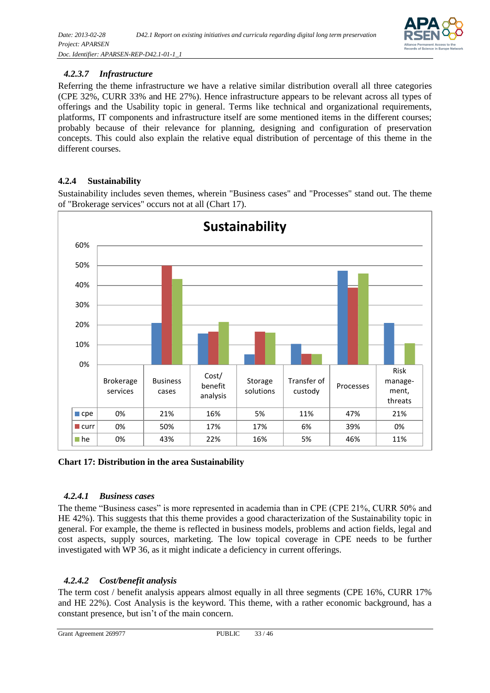

#### *4.2.3.7 Infrastructure*

Referring the theme infrastructure we have a relative similar distribution overall all three categories (CPE 32%, CURR 33% and HE 27%). Hence infrastructure appears to be relevant across all types of offerings and the Usability topic in general. Terms like technical and organizational requirements, platforms, IT components and infrastructure itself are some mentioned items in the different courses; probably because of their relevance for planning, designing and configuration of preservation concepts. This could also explain the relative equal distribution of percentage of this theme in the different courses.

#### <span id="page-32-0"></span>**4.2.4 Sustainability**

Sustainability includes seven themes, wherein "Business cases" and "Processes" stand out. The theme of "Brokerage services" occurs not at all (Chart 17).



#### <span id="page-32-1"></span>**Chart 17: Distribution in the area Sustainability**

#### *4.2.4.1 Business cases*

The theme "Business cases" is more represented in academia than in CPE (CPE 21%, CURR 50% and HE 42%). This suggests that this theme provides a good characterization of the Sustainability topic in general. For example, the theme is reflected in business models, problems and action fields, legal and cost aspects, supply sources, marketing. The low topical coverage in CPE needs to be further investigated with WP 36, as it might indicate a deficiency in current offerings.

#### *4.2.4.2 Cost/benefit analysis*

The term cost / benefit analysis appears almost equally in all three segments (CPE 16%, CURR 17% and HE 22%). Cost Analysis is the keyword. This theme, with a rather economic background, has a constant presence, but isn't of the main concern.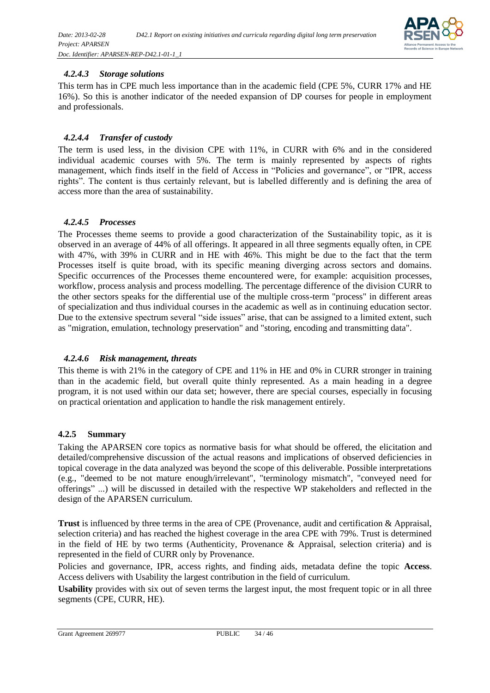

#### *4.2.4.3 Storage solutions*

This term has in CPE much less importance than in the academic field (CPE 5%, CURR 17% and HE 16%). So this is another indicator of the needed expansion of DP courses for people in employment and professionals.

#### *4.2.4.4 Transfer of custody*

The term is used less, in the division CPE with 11%, in CURR with 6% and in the considered individual academic courses with 5%. The term is mainly represented by aspects of rights management, which finds itself in the field of Access in "Policies and governance", or "IPR, access rights". The content is thus certainly relevant, but is labelled differently and is defining the area of access more than the area of sustainability.

#### *4.2.4.5 Processes*

The Processes theme seems to provide a good characterization of the Sustainability topic, as it is observed in an average of 44% of all offerings. It appeared in all three segments equally often, in CPE with 47%, with 39% in CURR and in HE with 46%. This might be due to the fact that the term Processes itself is quite broad, with its specific meaning diverging across sectors and domains. Specific occurrences of the Processes theme encountered were, for example: acquisition processes, workflow, process analysis and process modelling. The percentage difference of the division CURR to the other sectors speaks for the differential use of the multiple cross-term "process" in different areas of specialization and thus individual courses in the academic as well as in continuing education sector. Due to the extensive spectrum several "side issues" arise, that can be assigned to a limited extent, such as "migration, emulation, technology preservation" and "storing, encoding and transmitting data".

#### *4.2.4.6 Risk management, threats*

This theme is with 21% in the category of CPE and 11% in HE and 0% in CURR stronger in training than in the academic field, but overall quite thinly represented. As a main heading in a degree program, it is not used within our data set; however, there are special courses, especially in focusing on practical orientation and application to handle the risk management entirely.

#### <span id="page-33-0"></span>**4.2.5 Summary**

Taking the APARSEN core topics as normative basis for what should be offered, the elicitation and detailed/comprehensive discussion of the actual reasons and implications of observed deficiencies in topical coverage in the data analyzed was beyond the scope of this deliverable. Possible interpretations (e.g., "deemed to be not mature enough/irrelevant", "terminology mismatch", "conveyed need for offerings" ...) will be discussed in detailed with the respective WP stakeholders and reflected in the design of the APARSEN curriculum.

**Trust** is influenced by three terms in the area of CPE (Provenance, audit and certification & Appraisal, selection criteria) and has reached the highest coverage in the area CPE with 79%. Trust is determined in the field of HE by two terms (Authenticity, Provenance & Appraisal, selection criteria) and is represented in the field of CURR only by Provenance.

Policies and governance, IPR, access rights, and finding aids, metadata define the topic **Access**. Access delivers with Usability the largest contribution in the field of curriculum.

**Usability** provides with six out of seven terms the largest input, the most frequent topic or in all three segments (CPE, CURR, HE).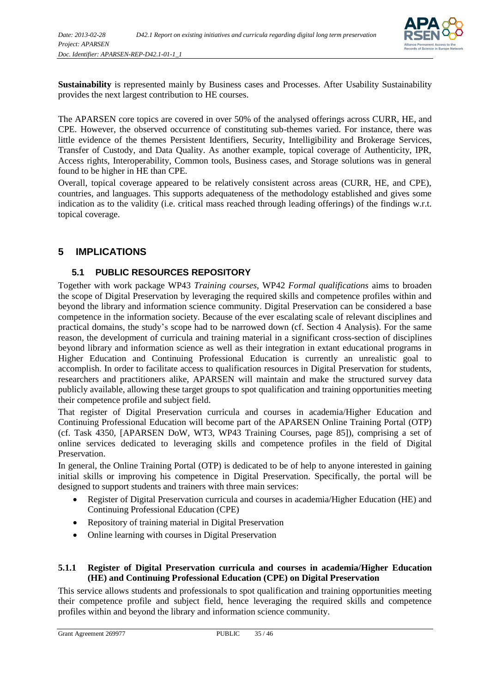

**Sustainability** is represented mainly by Business cases and Processes. After Usability Sustainability provides the next largest contribution to HE courses.

The APARSEN core topics are covered in over 50% of the analysed offerings across CURR, HE, and CPE. However, the observed occurrence of constituting sub-themes varied. For instance, there was little evidence of the themes Persistent Identifiers, Security, Intelligibility and Brokerage Services, Transfer of Custody, and Data Quality. As another example, topical coverage of Authenticity, IPR, Access rights, Interoperability, Common tools, Business cases, and Storage solutions was in general found to be higher in HE than CPE.

Overall, topical coverage appeared to be relatively consistent across areas (CURR, HE, and CPE), countries, and languages. This supports adequateness of the methodology established and gives some indication as to the validity (i.e. critical mass reached through leading offerings) of the findings w.r.t. topical coverage.

#### <span id="page-34-0"></span>**5 IMPLICATIONS**

#### **5.1 PUBLIC RESOURCES REPOSITORY**

<span id="page-34-1"></span>Together with work package WP43 *Training courses*, WP42 *Formal qualifications* aims to broaden the scope of Digital Preservation by leveraging the required skills and competence profiles within and beyond the library and information science community. Digital Preservation can be considered a base competence in the information society. Because of the ever escalating scale of relevant disciplines and practical domains, the study's scope had to be narrowed down (cf. Section 4 [Analysis\)](#page-18-0). For the same reason, the development of curricula and training material in a significant cross-section of disciplines beyond library and information science as well as their integration in extant educational programs in Higher Education and Continuing Professional Education is currently an unrealistic goal to accomplish. In order to facilitate access to qualification resources in Digital Preservation for students, researchers and practitioners alike, APARSEN will maintain and make the structured survey data publicly available, allowing these target groups to spot qualification and training opportunities meeting their competence profile and subject field.

That register of Digital Preservation curricula and courses in academia/Higher Education and Continuing Professional Education will become part of the APARSEN Online Training Portal (OTP) (cf. Task 4350, [APARSEN DoW, WT3, WP43 Training Courses, page 85]), comprising a set of online services dedicated to leveraging skills and competence profiles in the field of Digital Preservation.

In general, the Online Training Portal (OTP) is dedicated to be of help to anyone interested in gaining initial skills or improving his competence in Digital Preservation. Specifically, the portal will be designed to support students and trainers with three main services:

- Register of Digital Preservation curricula and courses in academia/Higher Education (HE) and Continuing Professional Education (CPE)
- Repository of training material in Digital Preservation
- Online learning with courses in Digital Preservation

#### <span id="page-34-2"></span>**5.1.1 Register of Digital Preservation curricula and courses in academia/Higher Education (HE) and Continuing Professional Education (CPE) on Digital Preservation**

This service allows students and professionals to spot qualification and training opportunities meeting their competence profile and subject field, hence leveraging the required skills and competence profiles within and beyond the library and information science community.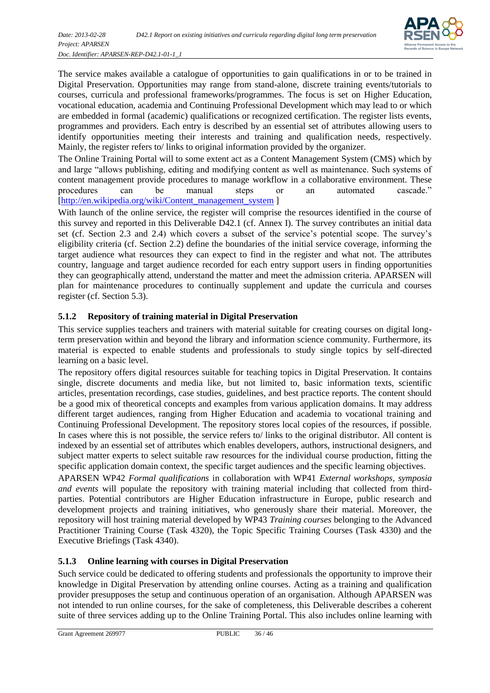

The service makes available a catalogue of opportunities to gain qualifications in or to be trained in Digital Preservation. Opportunities may range from stand-alone, discrete training events/tutorials to courses, curricula and professional frameworks/programmes. The focus is set on Higher Education, vocational education, academia and Continuing Professional Development which may lead to or which are embedded in formal (academic) qualifications or recognized certification. The register lists events, programmes and providers. Each entry is described by an essential set of attributes allowing users to identify opportunities meeting their interests and training and qualification needs, respectively. Mainly, the register refers to/ links to original information provided by the organizer.

The Online Training Portal will to some extent act as a Content Management System (CMS) which by and large "allows publishing, editing and modifying content as well as maintenance. Such systems of content management provide procedures to manage workflow in a collaborative environment. These procedures can be manual steps or an automated cascade." [\[http://en.wikipedia.org/wiki/Content\\_management\\_system](http://en.wikipedia.org/wiki/Content_management_system) ]

With launch of the online service, the register will comprise the resources identified in the course of this survey and reported in this Deliverable D42.1 (cf. Annex I). The survey contributes an initial data set (cf. Section [2.3](#page-12-0) and [2.4\)](#page-12-1) which covers a subset of the service's potential scope. The survey's eligibility criteria (cf. Section [2.2\)](#page-11-2) define the boundaries of the initial service coverage, informing the target audience what resources they can expect to find in the register and what not. The attributes country, language and target audience recorded for each entry support users in finding opportunities they can geographically attend, understand the matter and meet the admission criteria. APARSEN will plan for maintenance procedures to continually supplement and update the curricula and courses register (cf. Section 5.3).

#### <span id="page-35-0"></span>**5.1.2 Repository of training material in Digital Preservation**

This service supplies teachers and trainers with material suitable for creating courses on digital longterm preservation within and beyond the library and information science community. Furthermore, its material is expected to enable students and professionals to study single topics by self-directed learning on a basic level.

The repository offers digital resources suitable for teaching topics in Digital Preservation. It contains single, discrete documents and media like, but not limited to, basic information texts, scientific articles, presentation recordings, case studies, guidelines, and best practice reports. The content should be a good mix of theoretical concepts and examples from various application domains. It may address different target audiences, ranging from Higher Education and academia to vocational training and Continuing Professional Development. The repository stores local copies of the resources, if possible. In cases where this is not possible, the service refers to/ links to the original distributor. All content is indexed by an essential set of attributes which enables developers, authors, instructional designers, and subject matter experts to select suitable raw resources for the individual course production, fitting the specific application domain context, the specific target audiences and the specific learning objectives.

APARSEN WP42 *Formal qualifications* in collaboration with WP41 *External workshops, symposia and events* will populate the repository with training material including that collected from thirdparties. Potential contributors are Higher Education infrastructure in Europe, public research and development projects and training initiatives, who generously share their material. Moreover, the repository will host training material developed by WP43 *Training courses* belonging to the Advanced Practitioner Training Course (Task 4320), the Topic Specific Training Courses (Task 4330) and the Executive Briefings (Task 4340).

#### <span id="page-35-1"></span>**5.1.3 Online learning with courses in Digital Preservation**

Such service could be dedicated to offering students and professionals the opportunity to improve their knowledge in Digital Preservation by attending online courses. Acting as a training and qualification provider presupposes the setup and continuous operation of an organisation. Although APARSEN was not intended to run online courses, for the sake of completeness, this Deliverable describes a coherent suite of three services adding up to the Online Training Portal. This also includes online learning with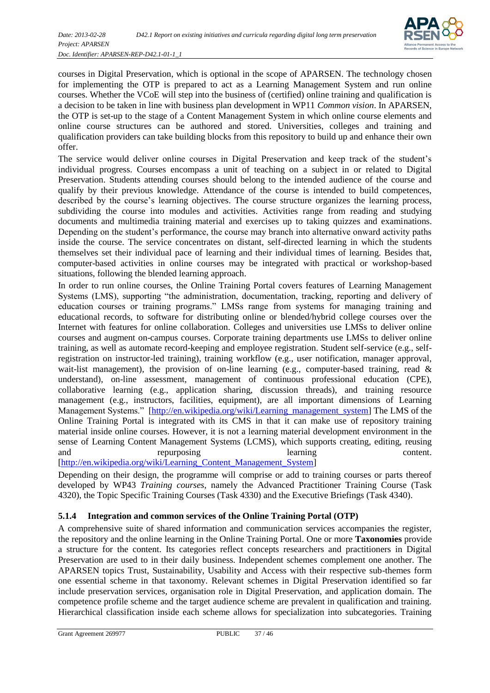

courses in Digital Preservation, which is optional in the scope of APARSEN. The technology chosen for implementing the OTP is prepared to act as a Learning Management System and run online courses. Whether the VCoE will step into the business of (certified) online training and qualification is a decision to be taken in line with business plan development in WP11 *Common vision*. In APARSEN, the OTP is set-up to the stage of a Content Management System in which online course elements and online course structures can be authored and stored. Universities, colleges and training and qualification providers can take building blocks from this repository to build up and enhance their own offer.

The service would deliver online courses in Digital Preservation and keep track of the student's individual progress. Courses encompass a unit of teaching on a subject in or related to Digital Preservation. Students attending courses should belong to the intended audience of the course and qualify by their previous knowledge. Attendance of the course is intended to build competences, described by the course's learning objectives. The course structure organizes the learning process, subdividing the course into modules and activities. Activities range from reading and studying documents and multimedia training material and exercises up to taking quizzes and examinations. Depending on the student's performance, the course may branch into alternative onward activity paths inside the course. The service concentrates on distant, self-directed learning in which the students themselves set their individual pace of learning and their individual times of learning. Besides that, computer-based activities in online courses may be integrated with practical or workshop-based situations, following the blended learning approach.

In order to run online courses, the Online Training Portal covers features of Learning Management Systems (LMS), supporting "the administration, documentation, tracking, reporting and delivery of education courses or training programs." LMSs range from systems for managing training and educational records, to software for distributing online or blended/hybrid college courses over the Internet with features for online collaboration. Colleges and universities use LMSs to deliver online courses and augment on-campus courses. Corporate training departments use LMSs to deliver online training, as well as automate record-keeping and employee registration. Student self-service (e.g., selfregistration on instructor-led training), training workflow (e.g., user notification, manager approval, wait-list management), the provision of on-line learning (e.g., computer-based training, read  $\&$ understand), on-line assessment, management of continuous professional education (CPE), collaborative learning (e.g., application sharing, discussion threads), and training resource management (e.g., instructors, facilities, equipment), are all important dimensions of Learning Management Systems." [\[http://en.wikipedia.org/wiki/Learning\\_management\\_system\]](http://en.wikipedia.org/wiki/Learning_management_system) The LMS of the Online Training Portal is integrated with its CMS in that it can make use of repository training material inside online courses. However, it is not a learning material development environment in the sense of Learning Content Management Systems (LCMS), which supports creating, editing, reusing and repurposing learning content. [\[http://en.wikipedia.org/wiki/Learning\\_Content\\_Management\\_System\]](http://en.wikipedia.org/wiki/Learning_Content_Management_System)

Depending on their design, the programme will comprise or add to training courses or parts thereof developed by WP43 *Training courses*, namely the Advanced Practitioner Training Course (Task 4320), the Topic Specific Training Courses (Task 4330) and the Executive Briefings (Task 4340).

#### <span id="page-36-0"></span>**5.1.4 Integration and common services of the Online Training Portal (OTP)**

A comprehensive suite of shared information and communication services accompanies the register, the repository and the online learning in the Online Training Portal. One or more **Taxonomies** provide a structure for the content. Its categories reflect concepts researchers and practitioners in Digital Preservation are used to in their daily business. Independent schemes complement one another. The APARSEN topics Trust, Sustainability, Usability and Access with their respective sub-themes form one essential scheme in that taxonomy. Relevant schemes in Digital Preservation identified so far include preservation services, organisation role in Digital Preservation, and application domain. The competence profile scheme and the target audience scheme are prevalent in qualification and training. Hierarchical classification inside each scheme allows for specialization into subcategories. Training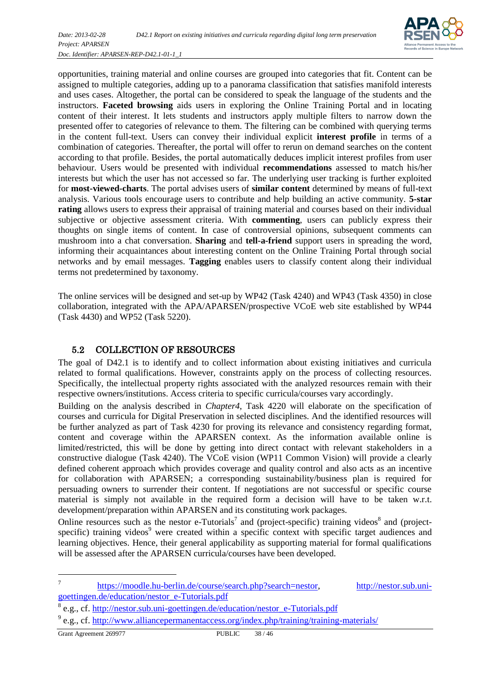

opportunities, training material and online courses are grouped into categories that fit. Content can be assigned to multiple categories, adding up to a panorama classification that satisfies manifold interests and uses cases. Altogether, the portal can be considered to speak the language of the students and the instructors. **Faceted browsing** aids users in exploring the Online Training Portal and in locating content of their interest. It lets students and instructors apply multiple filters to narrow down the presented offer to categories of relevance to them. The filtering can be combined with querying terms in the content full-text. Users can convey their individual explicit **interest profile** in terms of a combination of categories. Thereafter, the portal will offer to rerun on demand searches on the content according to that profile. Besides, the portal automatically deduces implicit interest profiles from user behaviour. Users would be presented with individual **recommendations** assessed to match his/her interests but which the user has not accessed so far. The underlying user tracking is further exploited for **most-viewed-charts**. The portal advises users of **similar content** determined by means of full-text analysis. Various tools encourage users to contribute and help building an active community. **5-star rating** allows users to express their appraisal of training material and courses based on their individual subjective or objective assessment criteria. With **commenting**, users can publicly express their thoughts on single items of content. In case of controversial opinions, subsequent comments can mushroom into a chat conversation. **Sharing** and **tell-a-friend** support users in spreading the word, informing their acquaintances about interesting content on the Online Training Portal through social networks and by email messages. **Tagging** enables users to classify content along their individual terms not predetermined by taxonomy.

The online services will be designed and set-up by WP42 (Task 4240) and WP43 (Task 4350) in close collaboration, integrated with the APA/APARSEN/prospective VCoE web site established by WP44 (Task 4430) and WP52 (Task 5220).

#### <span id="page-37-0"></span>5.2 COLLECTION OF RESOURCES

The goal of D42.1 is to identify and to collect information about existing initiatives and curricula related to formal qualifications. However, constraints apply on the process of collecting resources. Specifically, the intellectual property rights associated with the analyzed resources remain with their respective owners/institutions. Access criteria to specific curricula/courses vary accordingly.

Building on the analysis described in *Chapte[r4](#page-18-0)*, Task 4220 will elaborate on the specification of courses and curricula for Digital Preservation in selected disciplines. And the identified resources will be further analyzed as part of Task 4230 for proving its relevance and consistency regarding format, content and coverage within the APARSEN context. As the information available online is limited/restricted, this will be done by getting into direct contact with relevant stakeholders in a constructive dialogue (Task 4240). The VCoE vision (WP11 Common Vision) will provide a clearly defined coherent approach which provides coverage and quality control and also acts as an incentive for collaboration with APARSEN; a corresponding sustainability/business plan is required for persuading owners to surrender their content. If negotiations are not successful or specific course material is simply not available in the required form a decision will have to be taken w.r.t. development/preparation within APARSEN and its constituting work packages.

Online resources such as the nestor e-Tutorials<sup>7</sup> and (project-specific) training videos<sup>8</sup> and (projectspecific) training videos<sup>9</sup> were created within a specific context with specific target audiences and learning objectives. Hence, their general applicability as supporting material for formal qualifications will be assessed after the APARSEN curricula/courses have been developed.

l

<sup>7</sup> [https://moodle.hu-berlin.de/course/search.php?search=nestor,](https://moodle.hu-berlin.de/course/search.php?search=nestor) [http://nestor.sub.uni](http://nestor.sub.uni-goettingen.de/education/nestor_e-Tutorials.pdf)[goettingen.de/education/nestor\\_e-Tutorials.pdf](http://nestor.sub.uni-goettingen.de/education/nestor_e-Tutorials.pdf)

<sup>&</sup>lt;sup>8</sup> e.g., cf. [http://nestor.sub.uni-goettingen.de/education/nestor\\_e-Tutorials.pdf](http://nestor.sub.uni-goettingen.de/education/nestor_e-Tutorials.pdf)

<sup>&</sup>lt;sup>9</sup> e.g., cf.<http://www.alliancepermanentaccess.org/index.php/training/training-materials/>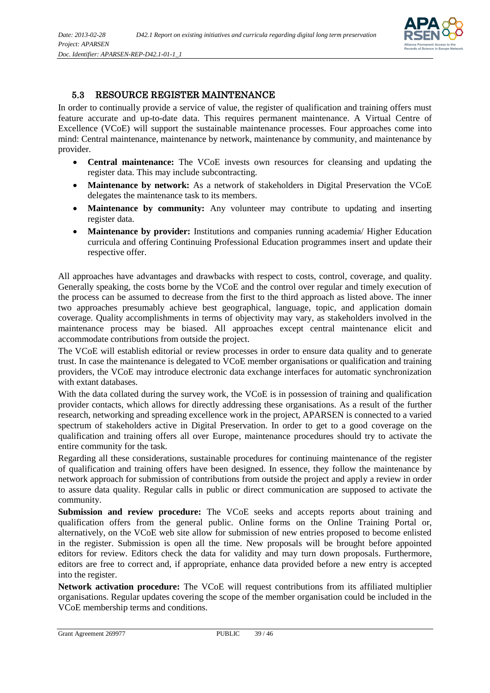

#### <span id="page-38-0"></span>5.3 RESOURCE REGISTER MAINTENANCE

In order to continually provide a service of value, the register of qualification and training offers must feature accurate and up-to-date data. This requires permanent maintenance. A Virtual Centre of Excellence (VCoE) will support the sustainable maintenance processes. Four approaches come into mind: Central maintenance, maintenance by network, maintenance by community, and maintenance by provider.

- **Central maintenance:** The VCoE invests own resources for cleansing and updating the register data. This may include subcontracting.
- **Maintenance by network:** As a network of stakeholders in Digital Preservation the VCoE delegates the maintenance task to its members.
- Maintenance by community: Any volunteer may contribute to updating and inserting register data.
- **Maintenance by provider:** Institutions and companies running academia/ Higher Education curricula and offering Continuing Professional Education programmes insert and update their respective offer.

All approaches have advantages and drawbacks with respect to costs, control, coverage, and quality. Generally speaking, the costs borne by the VCoE and the control over regular and timely execution of the process can be assumed to decrease from the first to the third approach as listed above. The inner two approaches presumably achieve best geographical, language, topic, and application domain coverage. Quality accomplishments in terms of objectivity may vary, as stakeholders involved in the maintenance process may be biased. All approaches except central maintenance elicit and accommodate contributions from outside the project.

The VCoE will establish editorial or review processes in order to ensure data quality and to generate trust. In case the maintenance is delegated to VCoE member organisations or qualification and training providers, the VCoE may introduce electronic data exchange interfaces for automatic synchronization with extant databases.

With the data collated during the survey work, the VCoE is in possession of training and qualification provider contacts, which allows for directly addressing these organisations. As a result of the further research, networking and spreading excellence work in the project, APARSEN is connected to a varied spectrum of stakeholders active in Digital Preservation. In order to get to a good coverage on the qualification and training offers all over Europe, maintenance procedures should try to activate the entire community for the task.

Regarding all these considerations, sustainable procedures for continuing maintenance of the register of qualification and training offers have been designed. In essence, they follow the maintenance by network approach for submission of contributions from outside the project and apply a review in order to assure data quality. Regular calls in public or direct communication are supposed to activate the community.

**Submission and review procedure:** The VCoE seeks and accepts reports about training and qualification offers from the general public. Online forms on the Online Training Portal or, alternatively, on the VCoE web site allow for submission of new entries proposed to become enlisted in the register. Submission is open all the time. New proposals will be brought before appointed editors for review. Editors check the data for validity and may turn down proposals. Furthermore, editors are free to correct and, if appropriate, enhance data provided before a new entry is accepted into the register.

**Network activation procedure:** The VCoE will request contributions from its affiliated multiplier organisations. Regular updates covering the scope of the member organisation could be included in the VCoE membership terms and conditions.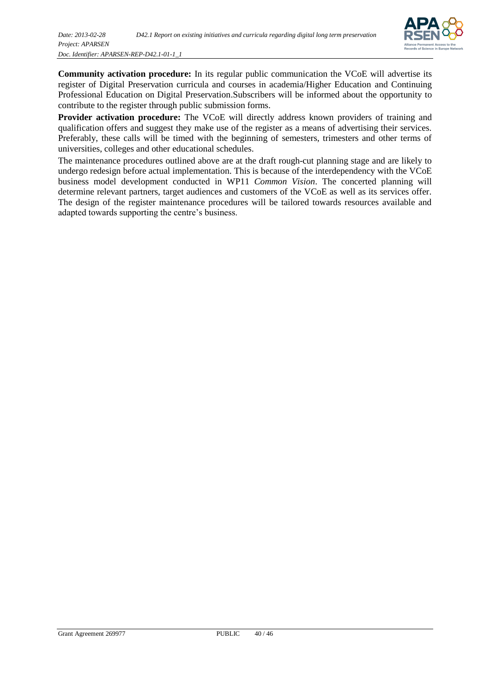

**Community activation procedure:** In its regular public communication the VCoE will advertise its register of Digital Preservation curricula and courses in academia/Higher Education and Continuing Professional Education on Digital Preservation.Subscribers will be informed about the opportunity to contribute to the register through public submission forms.

Provider activation procedure: The VCoE will directly address known providers of training and qualification offers and suggest they make use of the register as a means of advertising their services. Preferably, these calls will be timed with the beginning of semesters, trimesters and other terms of universities, colleges and other educational schedules.

The maintenance procedures outlined above are at the draft rough-cut planning stage and are likely to undergo redesign before actual implementation. This is because of the interdependency with the VCoE business model development conducted in WP11 *Common Vision*. The concerted planning will determine relevant partners, target audiences and customers of the VCoE as well as its services offer. The design of the register maintenance procedures will be tailored towards resources available and adapted towards supporting the centre's business.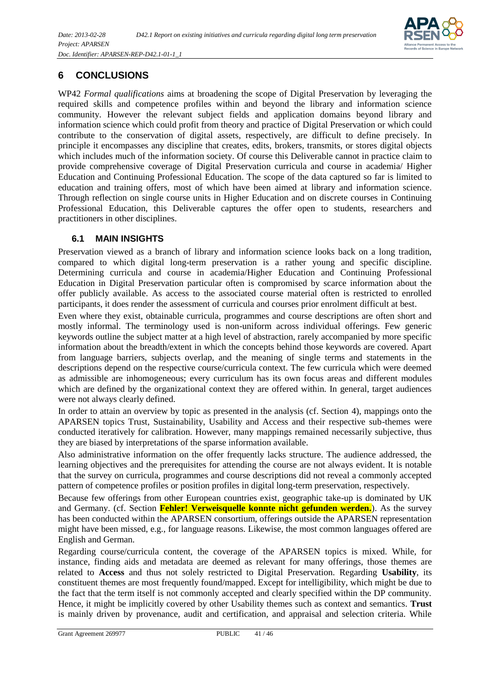

## <span id="page-40-0"></span>**6 CONCLUSIONS**

WP42 *Formal qualifications* aims at broadening the scope of Digital Preservation by leveraging the required skills and competence profiles within and beyond the library and information science community. However the relevant subject fields and application domains beyond library and information science which could profit from theory and practice of Digital Preservation or which could contribute to the conservation of digital assets, respectively, are difficult to define precisely. In principle it encompasses any discipline that creates, edits, brokers, transmits, or stores digital objects which includes much of the information society. Of course this Deliverable cannot in practice claim to provide comprehensive coverage of Digital Preservation curricula and course in academia/ Higher Education and Continuing Professional Education. The scope of the data captured so far is limited to education and training offers, most of which have been aimed at library and information science. Through reflection on single course units in Higher Education and on discrete courses in Continuing Professional Education, this Deliverable captures the offer open to students, researchers and practitioners in other disciplines.

#### <span id="page-40-1"></span>**6.1 MAIN INSIGHTS**

Preservation viewed as a branch of library and information science looks back on a long tradition, compared to which digital long-term preservation is a rather young and specific discipline. Determining curricula and course in academia/Higher Education and Continuing Professional Education in Digital Preservation particular often is compromised by scarce information about the offer publicly available. As access to the associated course material often is restricted to enrolled participants, it does render the assessment of curricula and courses prior enrolment difficult at best.

Even where they exist, obtainable curricula, programmes and course descriptions are often short and mostly informal. The terminology used is non-uniform across individual offerings. Few generic keywords outline the subject matter at a high level of abstraction, rarely accompanied by more specific information about the breadth/extent in which the concepts behind those keywords are covered. Apart from language barriers, subjects overlap, and the meaning of single terms and statements in the descriptions depend on the respective course/curricula context. The few curricula which were deemed as admissible are inhomogeneous; every curriculum has its own focus areas and different modules which are defined by the organizational context they are offered within. In general, target audiences were not always clearly defined.

In order to attain an overview by topic as presented in the analysis (cf. Section [4\)](#page-18-0), mappings onto the APARSEN topics Trust, Sustainability, Usability and Access and their respective sub-themes were conducted iteratively for calibration. However, many mappings remained necessarily subjective, thus they are biased by interpretations of the sparse information available.

Also administrative information on the offer frequently lacks structure. The audience addressed, the learning objectives and the prerequisites for attending the course are not always evident. It is notable that the survey on curricula, programmes and course descriptions did not reveal a commonly accepted pattern of competence profiles or position profiles in digital long-term preservation, respectively.

Because few offerings from other European countries exist, geographic take-up is dominated by UK and Germany. (cf. Section **Fehler! Verweisquelle konnte nicht gefunden werden.**). As the survey has been conducted within the APARSEN consortium, offerings outside the APARSEN representation might have been missed, e.g., for language reasons. Likewise, the most common languages offered are English and German.

Regarding course/curricula content, the coverage of the APARSEN topics is mixed. While, for instance, finding aids and metadata are deemed as relevant for many offerings, those themes are related to **Access** and thus not solely restricted to Digital Preservation. Regarding **Usability**, its constituent themes are most frequently found/mapped. Except for intelligibility, which might be due to the fact that the term itself is not commonly accepted and clearly specified within the DP community. Hence, it might be implicitly covered by other Usability themes such as context and semantics. **Trust** is mainly driven by provenance, audit and certification, and appraisal and selection criteria. While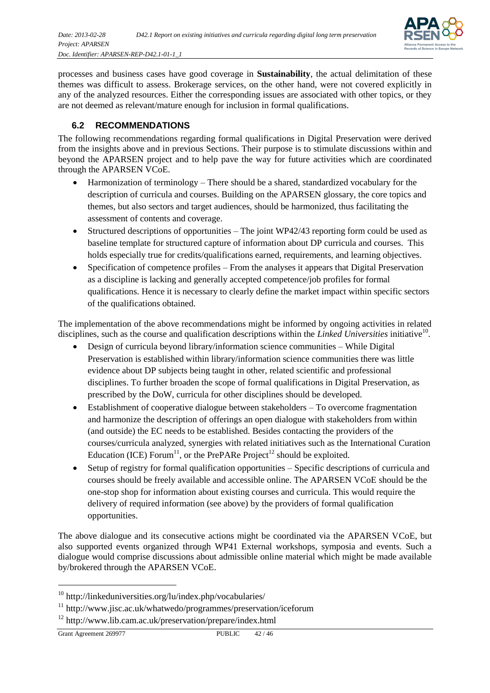

processes and business cases have good coverage in **Sustainability**, the actual delimitation of these themes was difficult to assess. Brokerage services, on the other hand, were not covered explicitly in any of the analyzed resources. Either the corresponding issues are associated with other topics, or they are not deemed as relevant/mature enough for inclusion in formal qualifications.

#### <span id="page-41-0"></span>**6.2 RECOMMENDATIONS**

The following recommendations regarding formal qualifications in Digital Preservation were derived from the insights above and in previous Sections. Their purpose is to stimulate discussions within and beyond the APARSEN project and to help pave the way for future activities which are coordinated through the APARSEN VCoE.

- Harmonization of terminology There should be a shared, standardized vocabulary for the description of curricula and courses. Building on the APARSEN glossary, the core topics and themes, but also sectors and target audiences, should be harmonized, thus facilitating the assessment of contents and coverage.
- Structured descriptions of opportunities The joint WP42/43 reporting form could be used as baseline template for structured capture of information about DP curricula and courses. This holds especially true for credits/qualifications earned, requirements, and learning objectives.
- Specification of competence profiles From the analyses it appears that Digital Preservation as a discipline is lacking and generally accepted competence/job profiles for formal qualifications. Hence it is necessary to clearly define the market impact within specific sectors of the qualifications obtained.

The implementation of the above recommendations might be informed by ongoing activities in related disciplines, such as the course and qualification descriptions within the *Linked Universities* initiative<sup>10</sup>.

- Design of curricula beyond library/information science communities While Digital Preservation is established within library/information science communities there was little evidence about DP subjects being taught in other, related scientific and professional disciplines. To further broaden the scope of formal qualifications in Digital Preservation, as prescribed by the DoW, curricula for other disciplines should be developed.
- Establishment of cooperative dialogue between stakeholders To overcome fragmentation and harmonize the description of offerings an open dialogue with stakeholders from within (and outside) the EC needs to be established. Besides contacting the providers of the courses/curricula analyzed, synergies with related initiatives such as the International Curation Education (ICE) Forum<sup>11</sup>, or the PrePARe Project<sup>12</sup> should be exploited.
- Setup of registry for formal qualification opportunities Specific descriptions of curricula and courses should be freely available and accessible online. The APARSEN VCoE should be the one-stop shop for information about existing courses and curricula. This would require the delivery of required information (see above) by the providers of formal qualification opportunities.

The above dialogue and its consecutive actions might be coordinated via the APARSEN VCoE, but also supported events organized through WP41 External workshops, symposia and events. Such a dialogue would comprise discussions about admissible online material which might be made available by/brokered through the APARSEN VCoE.

l

<sup>10</sup> http://linkeduniversities.org/lu/index.php/vocabularies/

<sup>11</sup> http://www.jisc.ac.uk/whatwedo/programmes/preservation/iceforum

<sup>12</sup> http://www.lib.cam.ac.uk/preservation/prepare/index.html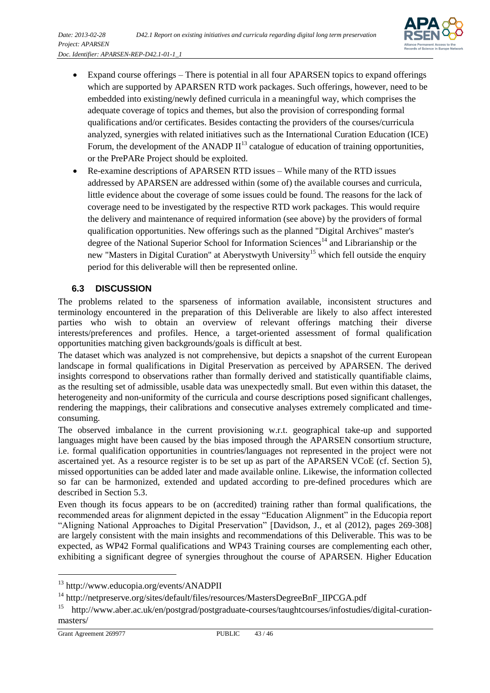

- Expand course offerings There is potential in all four APARSEN topics to expand offerings which are supported by APARSEN RTD work packages. Such offerings, however, need to be embedded into existing/newly defined curricula in a meaningful way, which comprises the adequate coverage of topics and themes, but also the provision of corresponding formal qualifications and/or certificates. Besides contacting the providers of the courses/curricula analyzed, synergies with related initiatives such as the International Curation Education (ICE) Forum, the development of the ANADP  $II<sup>13</sup>$  catalogue of education of training opportunities, or the PrePARe Project should be exploited.
- Re-examine descriptions of APARSEN RTD issues While many of the RTD issues addressed by APARSEN are addressed within (some of) the available courses and curricula, little evidence about the coverage of some issues could be found. The reasons for the lack of coverage need to be investigated by the respective RTD work packages. This would require the delivery and maintenance of required information (see above) by the providers of formal qualification opportunities. New offerings such as the planned "Digital Archives" master's degree of the National Superior School for Information Sciences<sup>14</sup> and Librarianship or the new "Masters in Digital Curation" at Aberystwyth University<sup>15</sup> which fell outside the enquiry period for this deliverable will then be represented online.

#### <span id="page-42-0"></span>**6.3 DISCUSSION**

The problems related to the sparseness of information available, inconsistent structures and terminology encountered in the preparation of this Deliverable are likely to also affect interested parties who wish to obtain an overview of relevant offerings matching their diverse interests/preferences and profiles. Hence, a target-oriented assessment of formal qualification opportunities matching given backgrounds/goals is difficult at best.

The dataset which was analyzed is not comprehensive, but depicts a snapshot of the current European landscape in formal qualifications in Digital Preservation as perceived by APARSEN. The derived insights correspond to observations rather than formally derived and statistically quantifiable claims, as the resulting set of admissible, usable data was unexpectedly small. But even within this dataset, the heterogeneity and non-uniformity of the curricula and course descriptions posed significant challenges, rendering the mappings, their calibrations and consecutive analyses extremely complicated and timeconsuming.

The observed imbalance in the current provisioning w.r.t. geographical take-up and supported languages might have been caused by the bias imposed through the APARSEN consortium structure, i.e. formal qualification opportunities in countries/languages not represented in the project were not ascertained yet. As a resource register is to be set up as part of the APARSEN VCoE (cf. Section [5\)](#page-34-0), missed opportunities can be added later and made available online. Likewise, the information collected so far can be harmonized, extended and updated according to pre-defined procedures which are described in Section [5.3.](#page-38-0)

Even though its focus appears to be on (accredited) training rather than formal qualifications, the recommended areas for alignment depicted in the essay "Education Alignment" in the Educopia report "Aligning National Approaches to Digital Preservation" [Davidson, J., et al (2012), pages 269-308] are largely consistent with the main insights and recommendations of this Deliverable. This was to be expected, as WP42 Formal qualifications and WP43 Training courses are complementing each other, exhibiting a significant degree of synergies throughout the course of APARSEN. Higher Education

l

<sup>13</sup> http://www.educopia.org/events/ANADPII

<sup>14</sup> http://netpreserve.org/sites/default/files/resources/MastersDegreeBnF\_IIPCGA.pdf

<sup>&</sup>lt;sup>15</sup> http://www.aber.ac.uk/en/postgrad/postgraduate-courses/taughtcourses/infostudies/digital-curationmasters/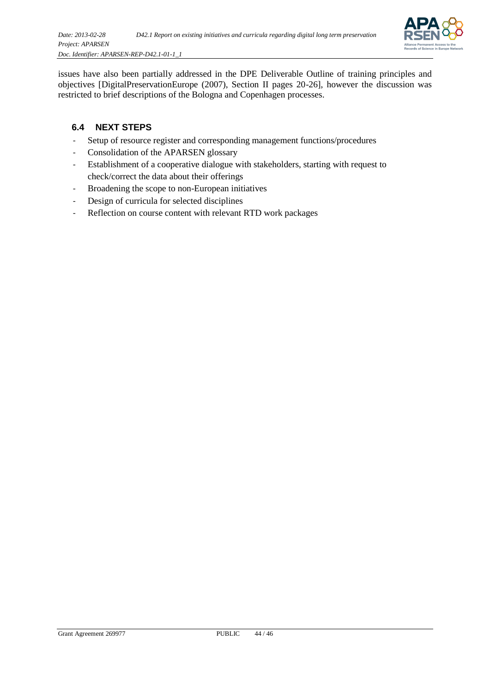

issues have also been partially addressed in the DPE Deliverable Outline of training principles and objectives [DigitalPreservationEurope (2007), Section II pages 20-26], however the discussion was restricted to brief descriptions of the Bologna and Copenhagen processes.

### <span id="page-43-0"></span>**6.4 NEXT STEPS**

- Setup of resource register and corresponding management functions/procedures
- Consolidation of the APARSEN glossary
- Establishment of a cooperative dialogue with stakeholders, starting with request to check/correct the data about their offerings
- Broadening the scope to non-European initiatives
- Design of curricula for selected disciplines
- Reflection on course content with relevant RTD work packages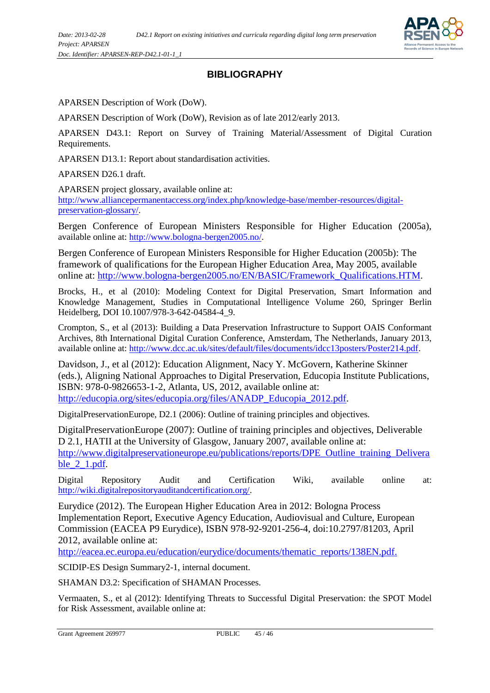

## **BIBLIOGRAPHY**

APARSEN Description of Work (DoW).

APARSEN Description of Work (DoW), Revision as of late 2012/early 2013.

APARSEN D43.1: Report on Survey of Training Material/Assessment of Digital Curation Requirements.

APARSEN D13.1: Report about standardisation activities.

APARSEN D26.1 draft.

APARSEN project glossary, available online at: [http://www.alliancepermanentaccess.org/index.php/knowledge-base/member-resources/digital](http://www.alliancepermanentaccess.org/index.php/knowledge-base/member-resources/digital-preservation-glossary/)[preservation-glossary/.](http://www.alliancepermanentaccess.org/index.php/knowledge-base/member-resources/digital-preservation-glossary/)

Bergen Conference of European Ministers Responsible for Higher Education (2005a), available online at: [http://www.bologna-bergen2005.no/.](http://www.bologna-bergen2005.no/)

Bergen Conference of European Ministers Responsible for Higher Education (2005b): The framework of qualifications for the European Higher Education Area, May 2005, available online at: [http://www.bologna-bergen2005.no/EN/BASIC/Framework\\_Qualifications.HTM.](http://www.bologna-bergen2005.no/EN/BASIC/Framework_Qualifications.HTM)

Brocks, H., et al (2010): Modeling Context for Digital Preservation, Smart Information and Knowledge Management, Studies in Computational Intelligence Volume 260, Springer Berlin Heidelberg, DOI 10.1007/978-3-642-04584-4\_9.

Crompton, S., et al (2013): Building a Data Preservation Infrastructure to Support OAIS Conformant Archives, 8th International Digital Curation Conference, Amsterdam, The Netherlands, January 2013, available online at: [http://www.dcc.ac.uk/sites/default/files/documents/idcc13posters/Poster214.pdf.](http://www.dcc.ac.uk/sites/default/files/documents/idcc13posters/Poster214.pdf)

Davidson, J., et al (2012): Education Alignment, Nacy Y. McGovern, Katherine Skinner (eds.), Aligning National Approaches to Digital Preservation, Educopia Institute Publications, ISBN: 978-0-9826653-1-2, Atlanta, US, 2012, available online at: [http://educopia.org/sites/educopia.org/files/ANADP\\_Educopia\\_2012.pdf.](http://educopia.org/sites/educopia.org/files/ANADP_Educopia_2012.pdf)

DigitalPreservationEurope, D2.1 (2006): Outline of training principles and objectives.

DigitalPreservationEurope (2007): Outline of training principles and objectives, Deliverable D 2.1, HATII at the University of Glasgow, January 2007, available online at: [http://www.digitalpreservationeurope.eu/publications/reports/DPE\\_Outline\\_training\\_Delivera](http://www.digitalpreservationeurope.eu/publications/reports/DPE_Outline_training_Deliverable_2_1.pdf) ble 2 1.pdf.

Digital Repository Audit and Certification Wiki, available online at: [http://wiki.digitalrepositoryauditandcertification.org/.](http://wiki.digitalrepositoryauditandcertification.org/)

Eurydice (2012). The European Higher Education Area in 2012: Bologna Process Implementation Report, Executive Agency Education, Audiovisual and Culture, European Commission (EACEA P9 Eurydice), ISBN 978-92-9201-256-4, doi:10.2797/81203, April 2012, available online at:

[http://eacea.ec.europa.eu/education/eurydice/documents/thematic\\_reports/138EN.pdf.](http://eacea.ec.europa.eu/education/eurydice/documents/thematic_reports/138EN.pdf)

SCIDIP-ES Design Summary2-1, internal document.

SHAMAN D3.2: Specification of SHAMAN Processes.

Vermaaten, S., et al (2012): Identifying Threats to Successful Digital Preservation: the SPOT Model for Risk Assessment, available online at: